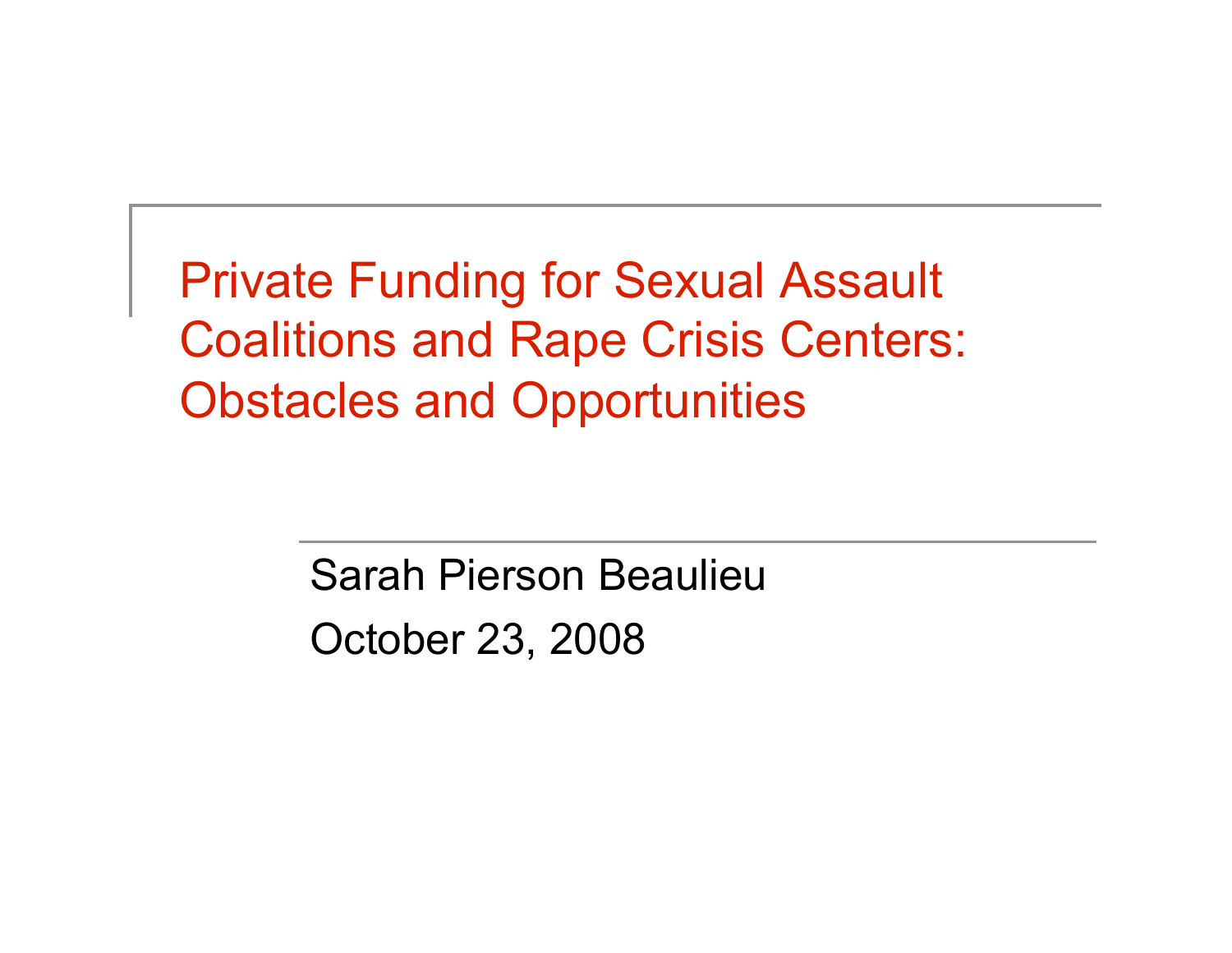Private Funding for Sexual Assault Coalitions and Rape Crisis Centers: Obstacles and Opportunities

> Sarah Pierson Beaulieu October 23, 2008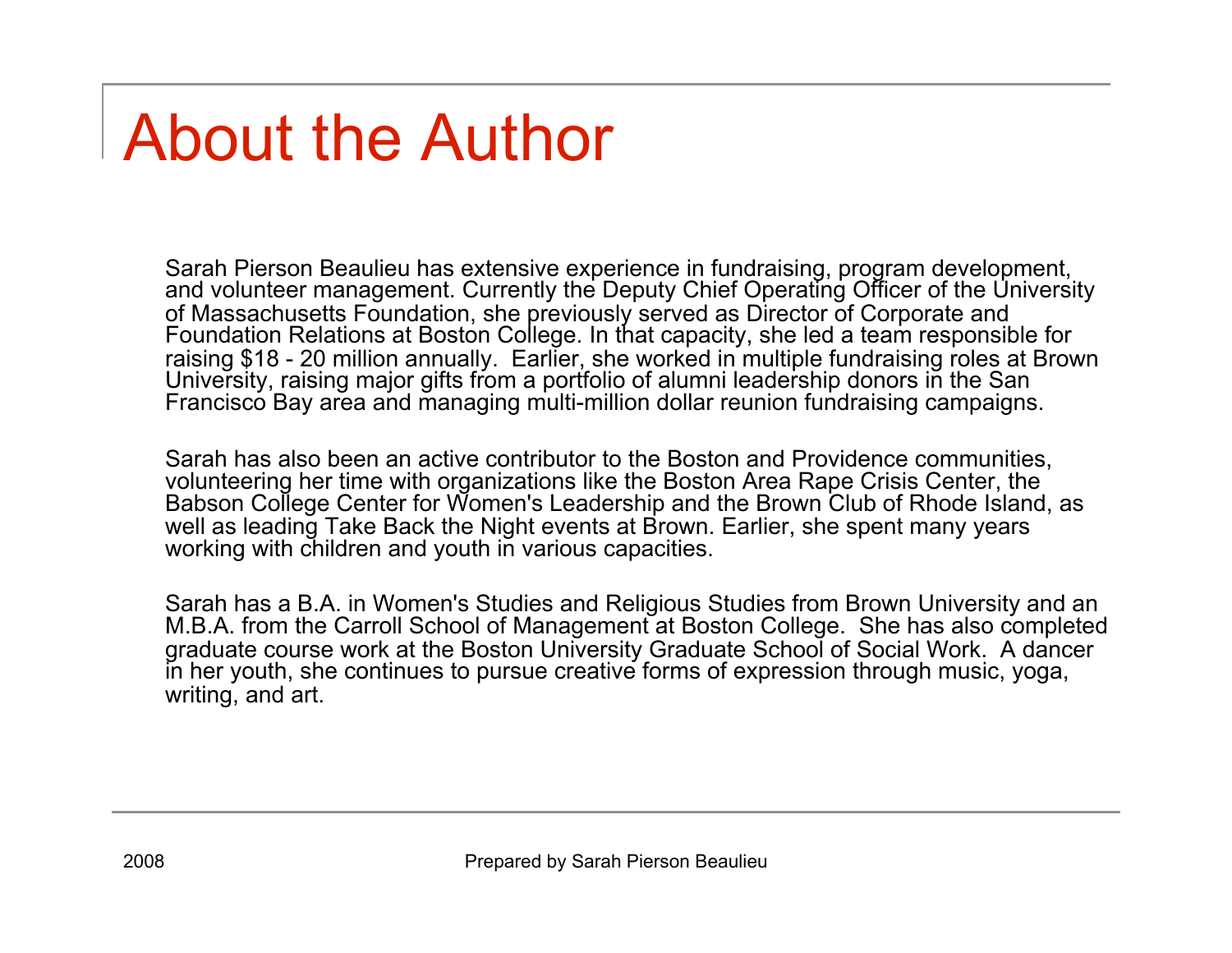### About the Author

Sarah Pierson Beaulieu has extensive experience in fundraising, program development, and volunteer management. Currently the Deputy Chief Operating Officer of the University of Massachusetts Foundation, she previously served as Director of Corporate and Foundation Relations at Boston College. In that capacity, she led a team responsible for raising \$18 - 20 million annually. Earlier, she worked in multiple fundraising roles at Brown University, raising major gifts from a portfolio of alumni leadership donors in the San Francisco Bay area and managing multi-million dollar reunion fundraising campaigns.

Sarah has also been an active contributor to the Boston and Providence communities, volunteering her time with organizations like the Boston Area Rape Crisis Center, the Babson College Center for Women's Leadership and the Brown Club of Rhode Island, as well as leading Take Back the Night events at Brown. Earlier, she spent many years working with children and youth in various capacities.

Sarah has a B.A. in Women's Studies and Religious Studies from Brown University and an M.B.A. from the Carroll School of Management at Boston College. She has also completed graduate course work at the Boston University Graduate School of Social Work. A dancer in her youth, she continues to pursue creative forms of expression through music, yoga, writing, and art.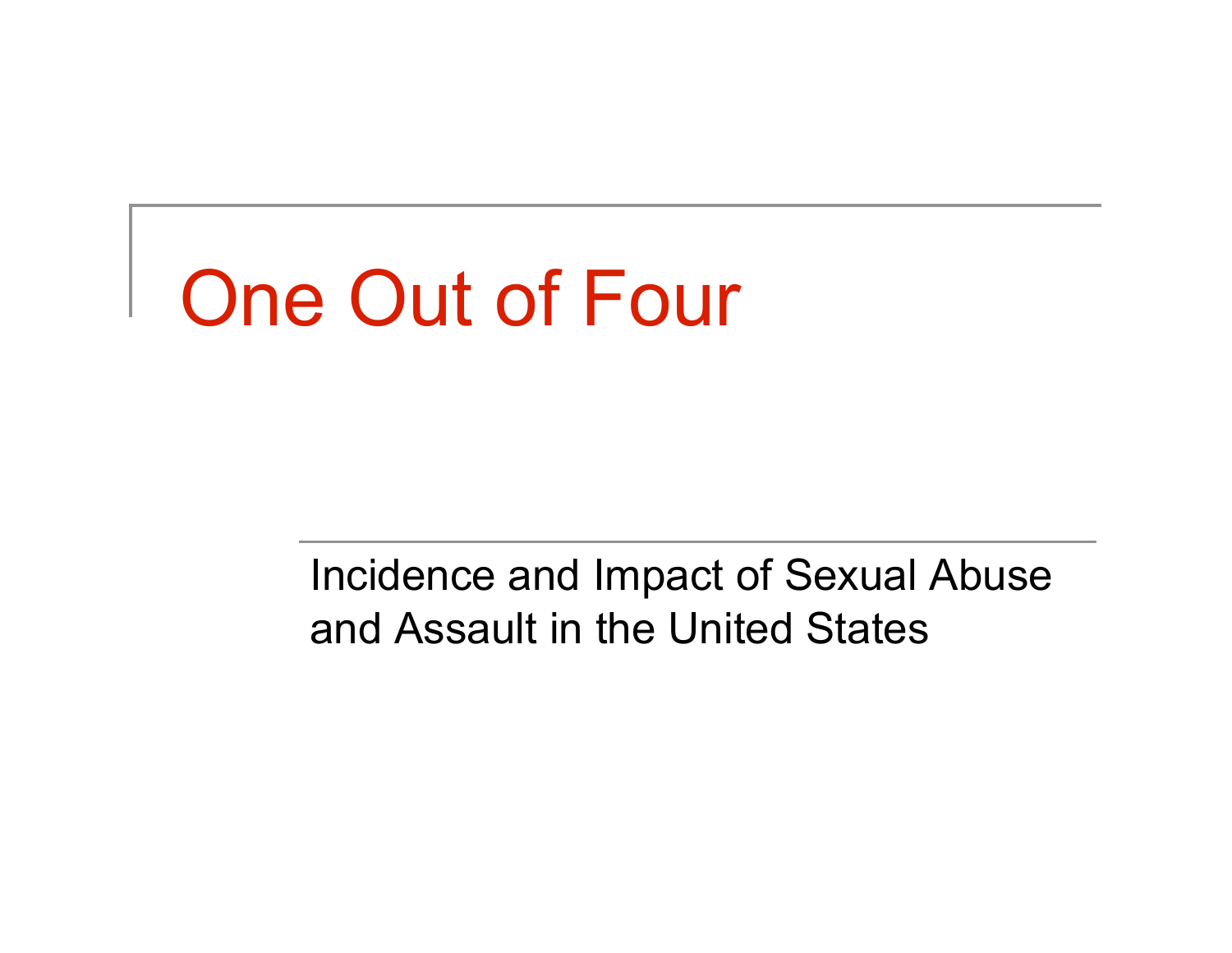# One Out of Four

Incidence and Impact of Sexual Abuse and Assault in the United States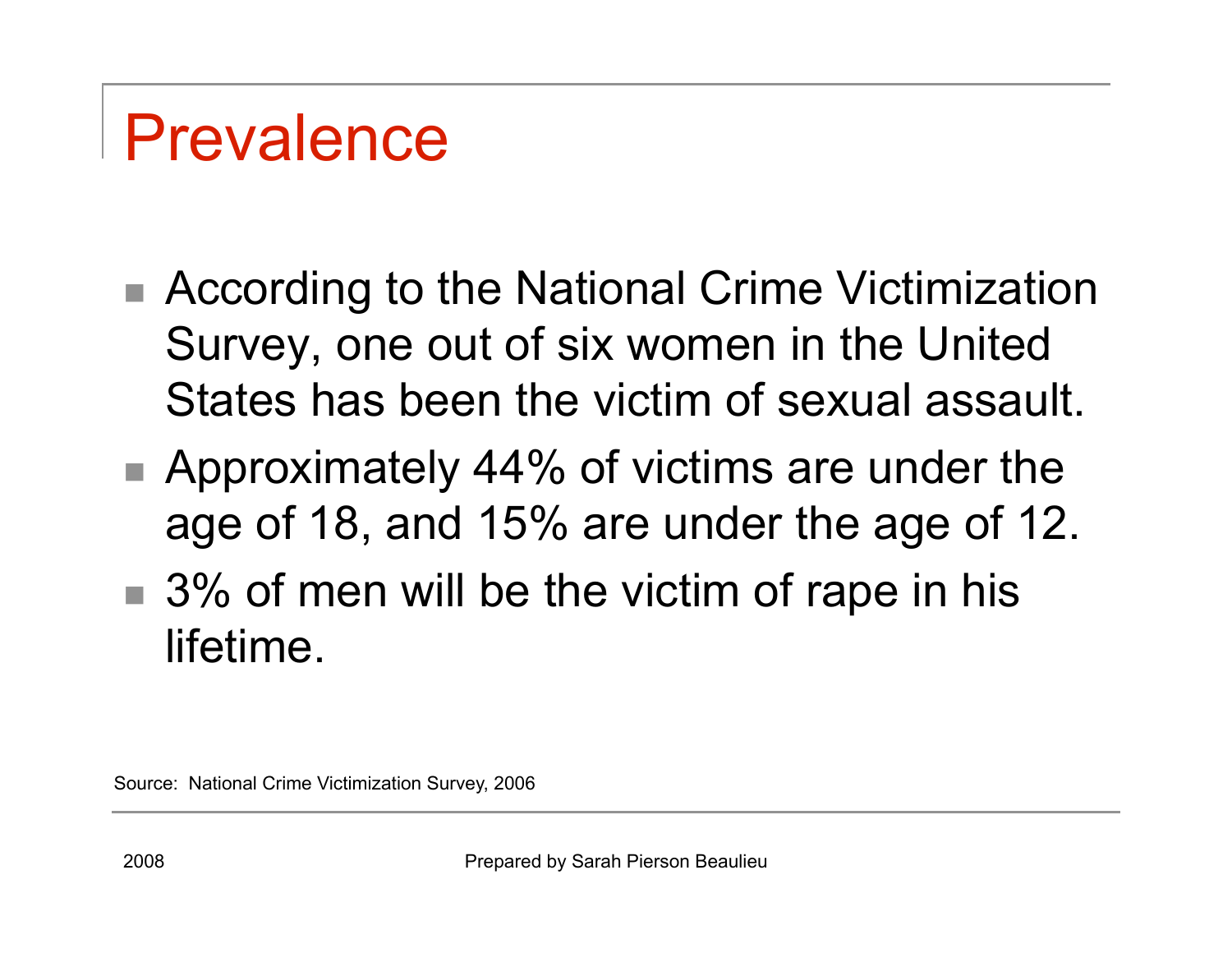## Prevalence

- According to the National Crime Victimization Survey, one out of six women in the United States has been the victim of sexual assault.
- Approximately 44% of victims are under the age of 18, and 15% are under the age of 12.
- $\blacksquare$  3% of men will be the victim of rape in his lifetime.

Source: National Crime Victimization Survey, 2006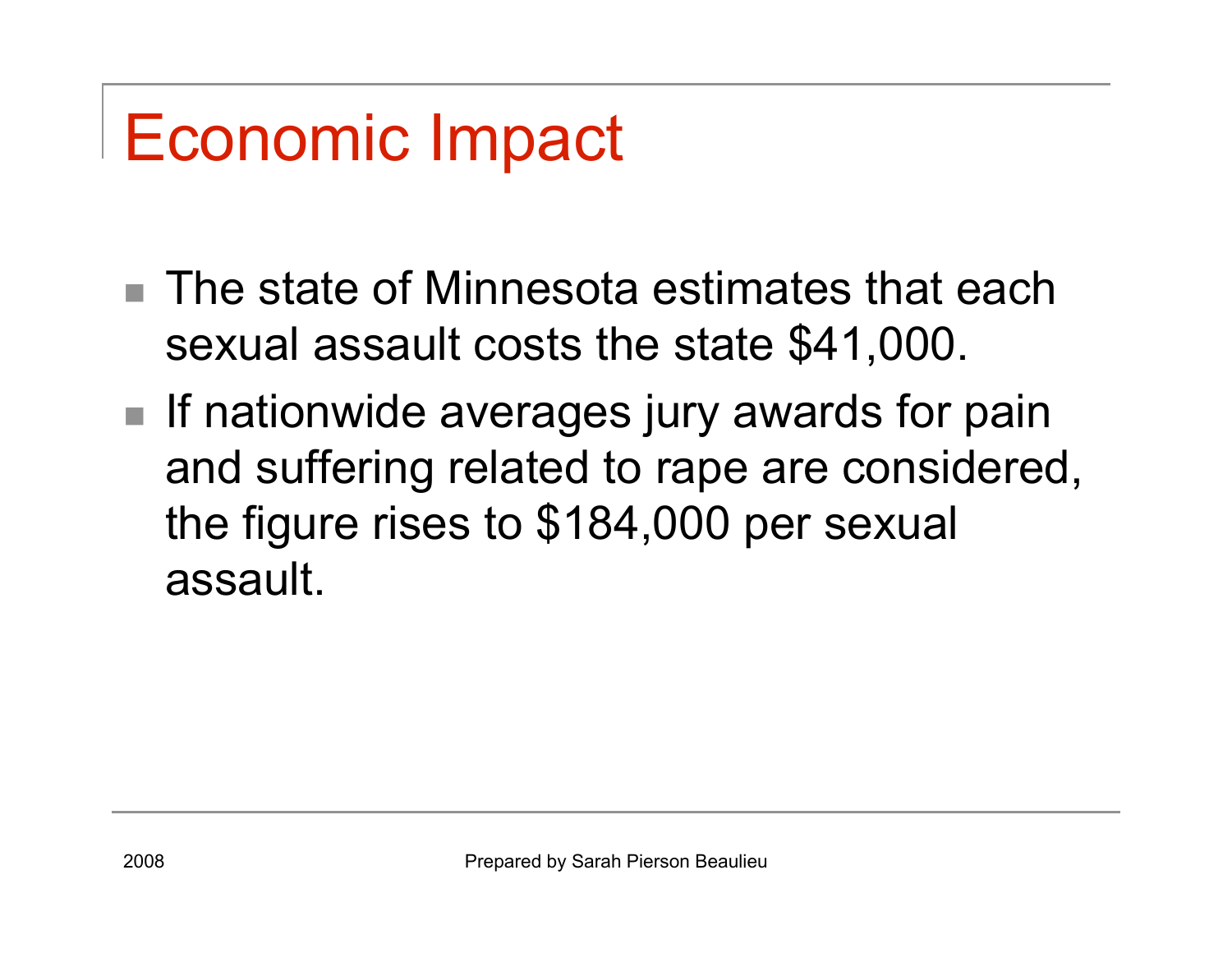## Economic Impact

- The state of Minnesota estimates that each sexual assault costs the state \$41,000.
- **If nationwide averages jury awards for pain** and suffering related to rape are considered, the figure rises to \$184,000 per sexual assault.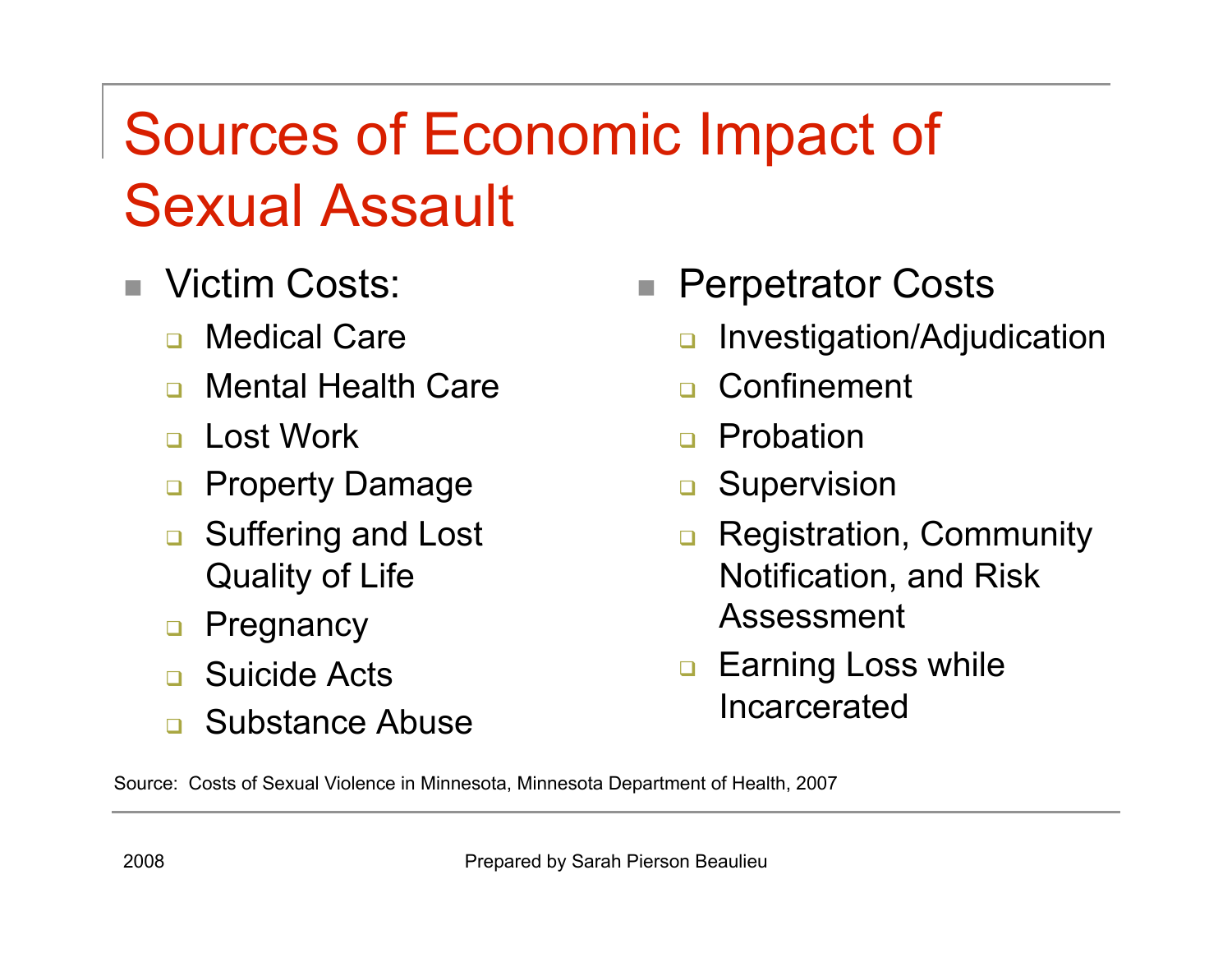### Sources of Economic Impact of Sexual Assault

- Victim Costs:
	- **D** Medical Care
	- n Mental Health Care
	- n Lost Work
	- **Property Damage**
	- **<u>n</u>** Suffering and Lost Quality of Life
	- **D** Pregnancy
	- Suicide Acts
	- Substance Abuse
- Perpetrator Costs
	- Investigation/Adjudication
	- **n** Confinement
	- **D** Probation
	- **B** Supervision
	- **Registration, Community** Notification, and Risk Assessment
	- **Earning Loss while** Incarcerated

Source: Costs of Sexual Violence in Minnesota, Minnesota Department of Health, 2007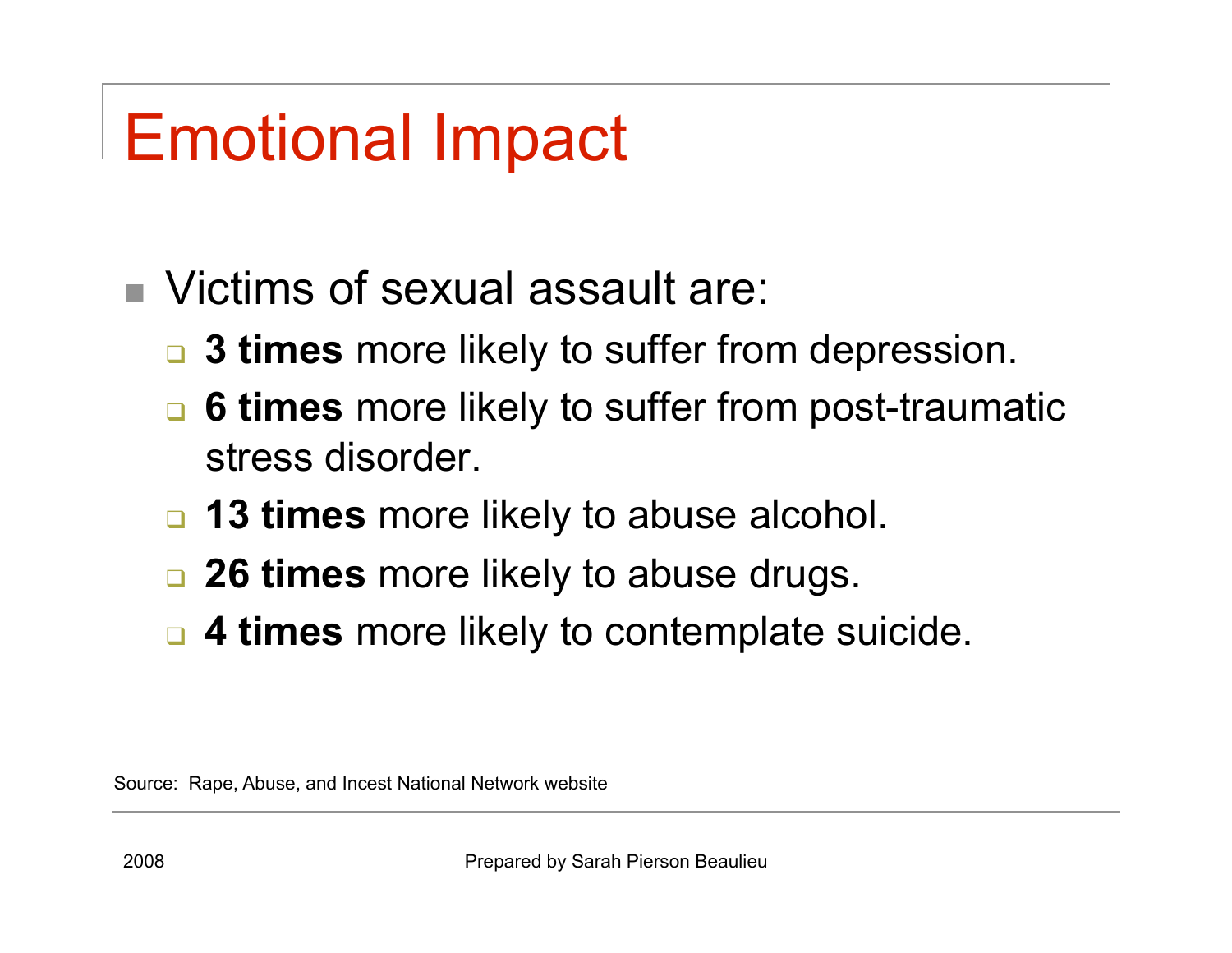# Emotional Impact

- Victims of sexual assault are:
	- **3 times** more likely to suffer from depression.
	- **6 times** more likely to suffer from post-traumatic stress disorder.
	- **13 times** more likely to abuse alcohol.
	- **26 times** more likely to abuse drugs.
	- **4 times** more likely to contemplate suicide.

Source: Rape, Abuse, and Incest National Network website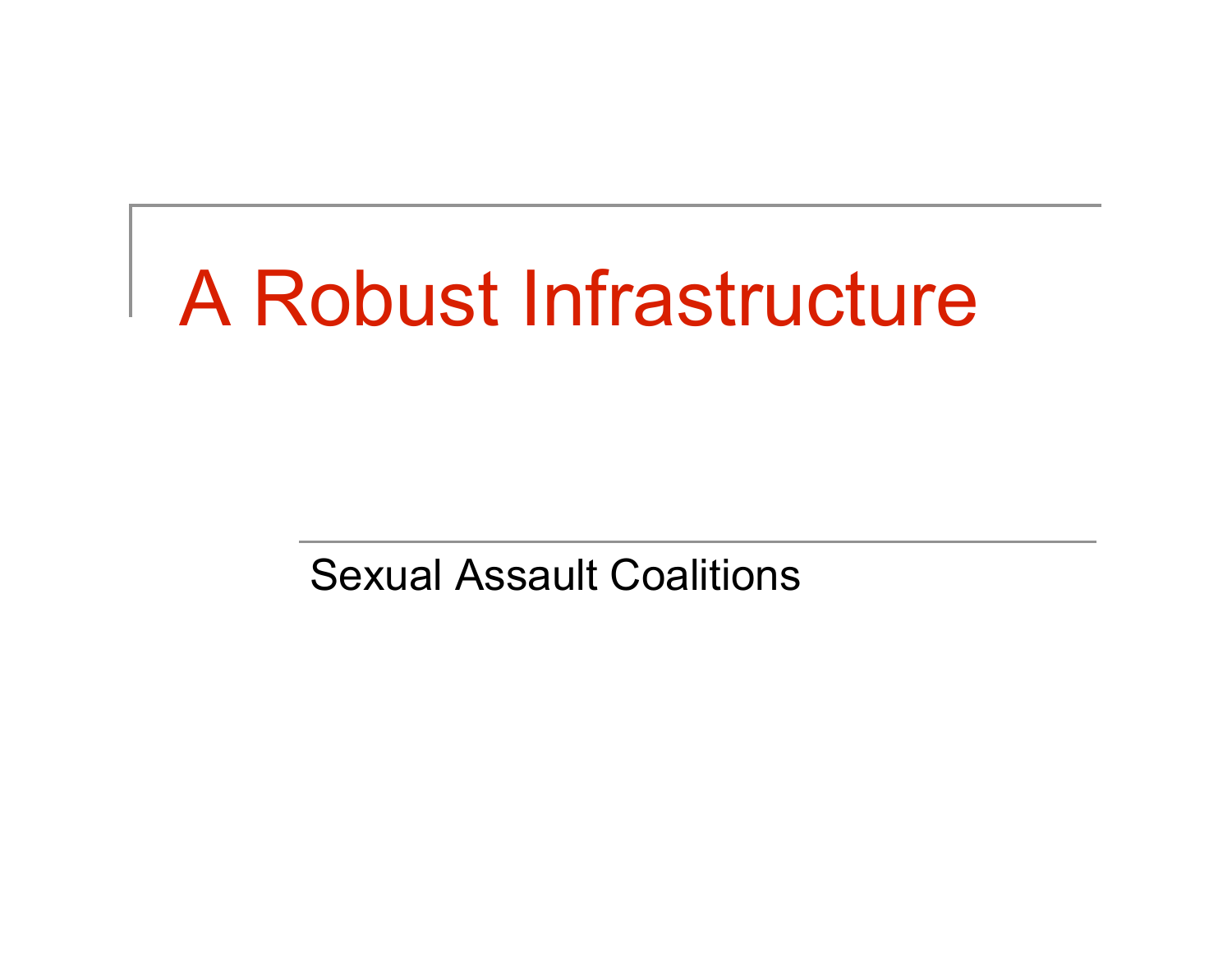# A Robust Infrastructure

Sexual Assault Coalitions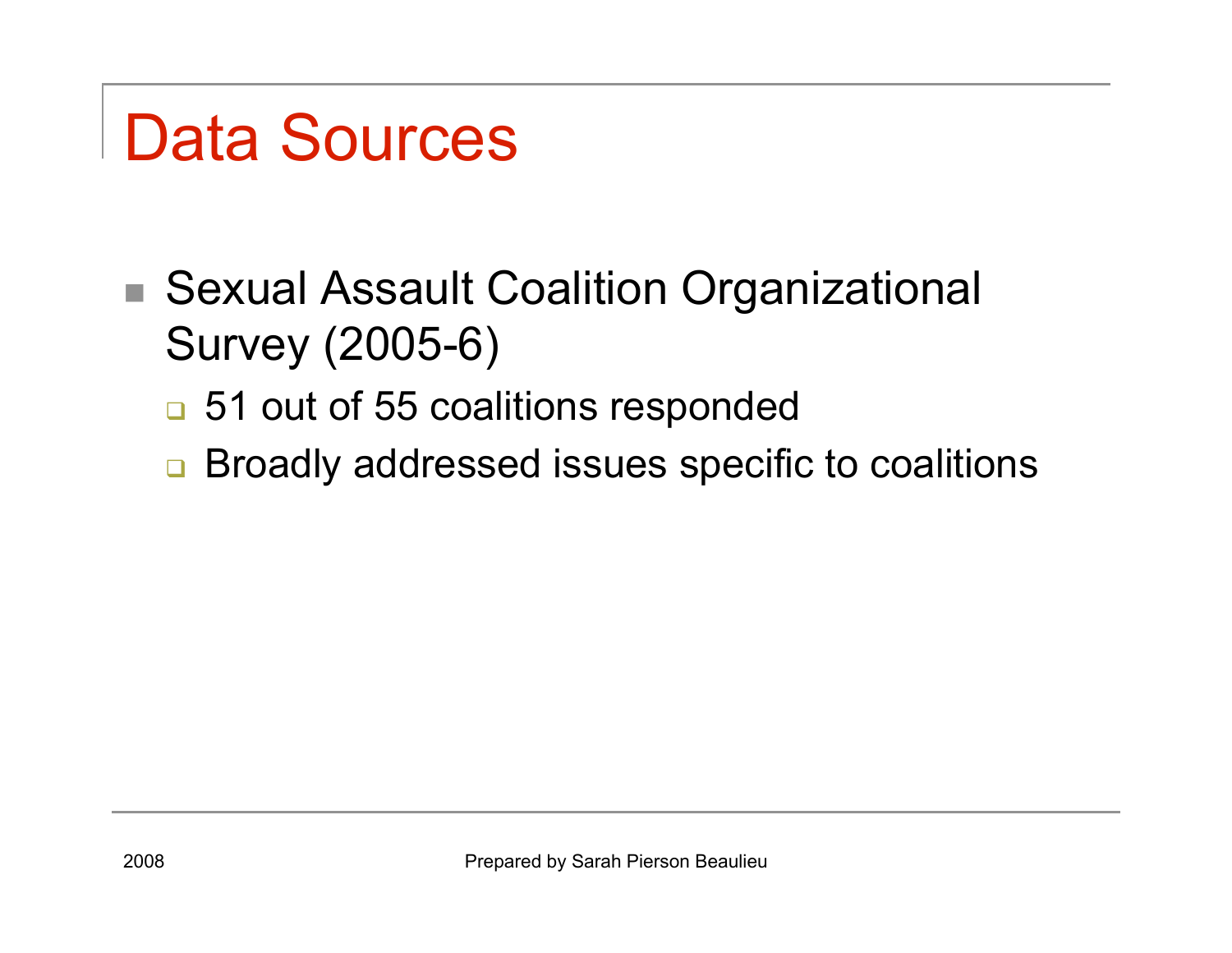## Data Sources

- Sexual Assault Coalition Organizational Survey (2005-6)
	- 51 out of 55 coalitions responded
	- **□ Broadly addressed issues specific to coalitions**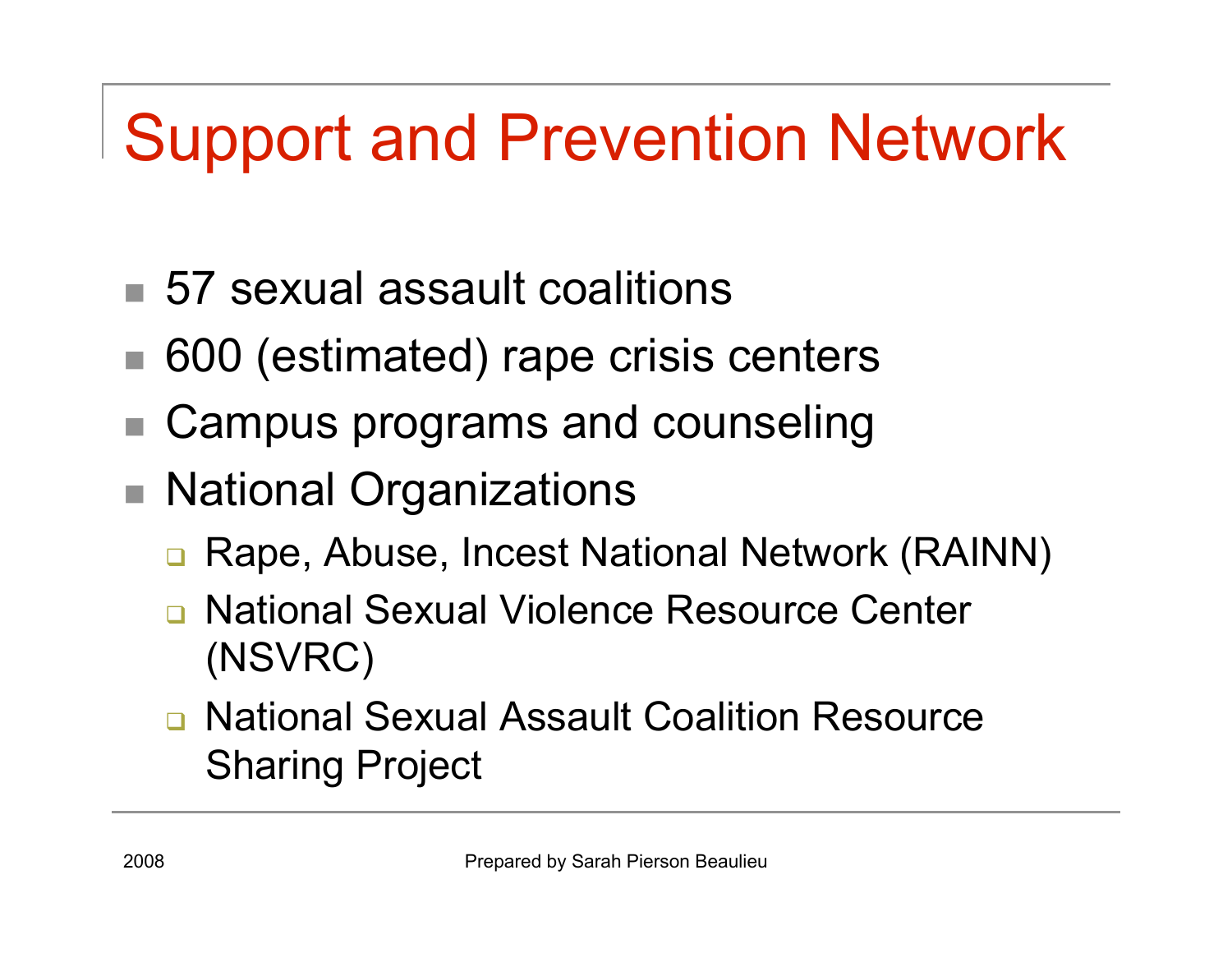# Support and Prevention Network

- 57 sexual assault coalitions
- 600 (estimated) rape crisis centers
- Campus programs and counseling
- National Organizations
	- Rape, Abuse, Incest National Network (RAINN)
	- National Sexual Violence Resource Center (NSVRC)
	- □ National Sexual Assault Coalition Resource Sharing Project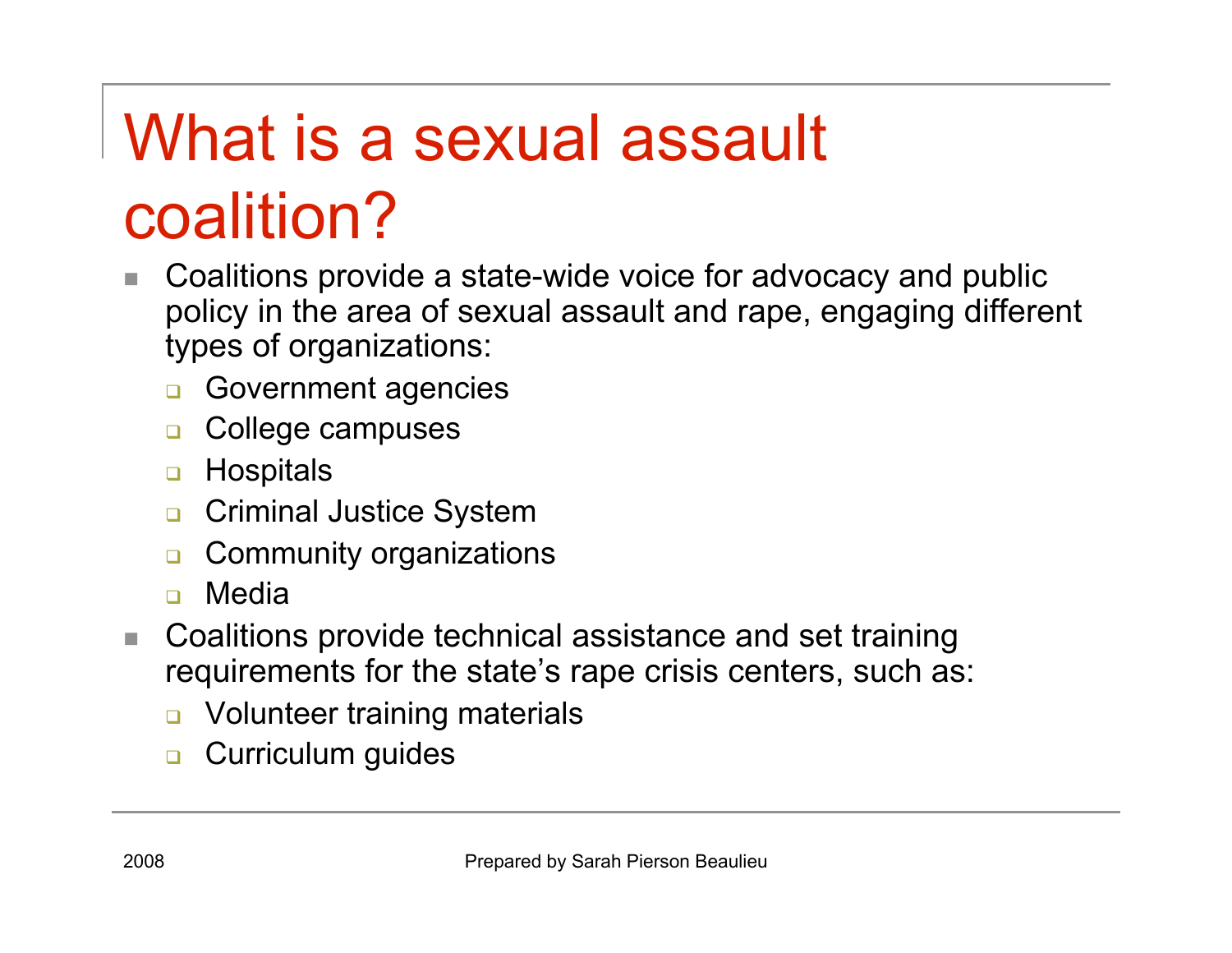# What is a sexual assault coalition?

- Coalitions provide a state-wide voice for advocacy and public policy in the area of sexual assault and rape, engaging different types of organizations:
	- Government agencies
	- **Q** College campuses
	- **D** Hospitals
	- **Q** Criminal Justice System
	- **Q** Community organizations
	- Media
- Coalitions provide technical assistance and set training requirements for the state's rape crisis centers, such as:
	- Volunteer training materials
	- **Q** Curriculum guides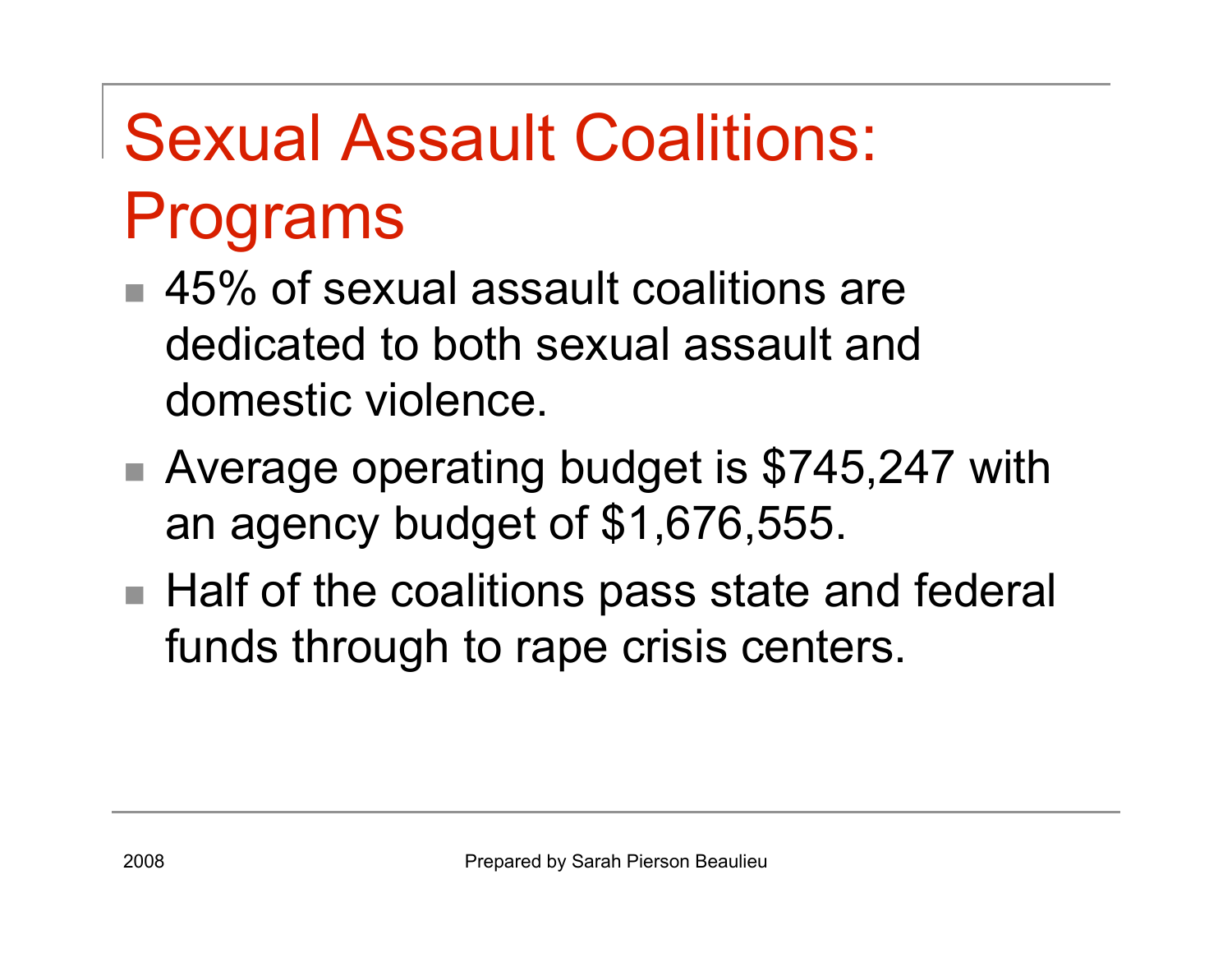# Sexual Assault Coalitions: Programs

- 45% of sexual assault coalitions are dedicated to both sexual assault and domestic violence.
- Average operating budget is \$745,247 with an agency budget of \$1,676,555.
- Half of the coalitions pass state and federal funds through to rape crisis centers.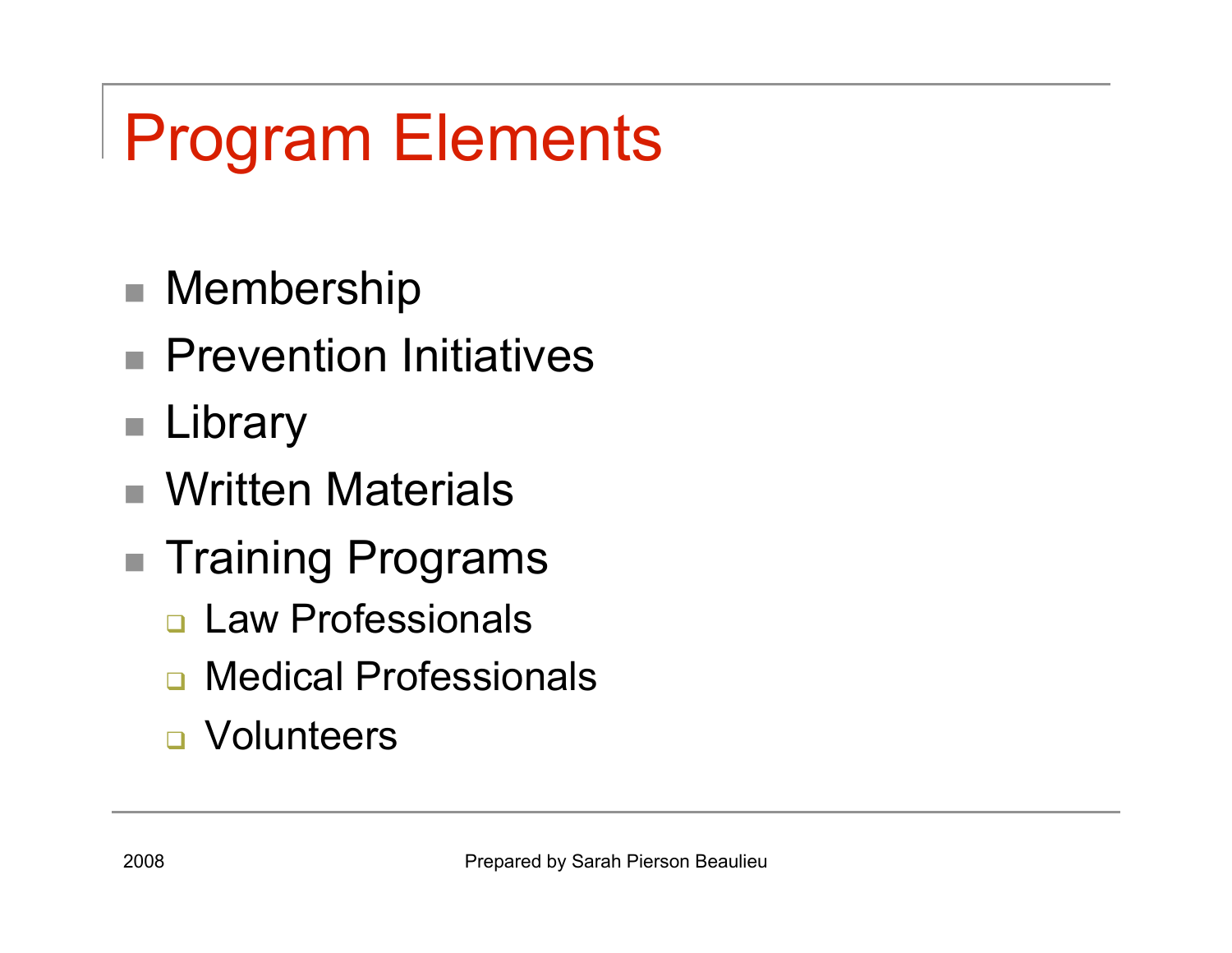# Program Elements

- Membership
- **Prevention Initiatives**
- Library
- Written Materials
- Training Programs
	- **Law Professionals**
	- **n** Medical Professionals
	- **D** Volunteers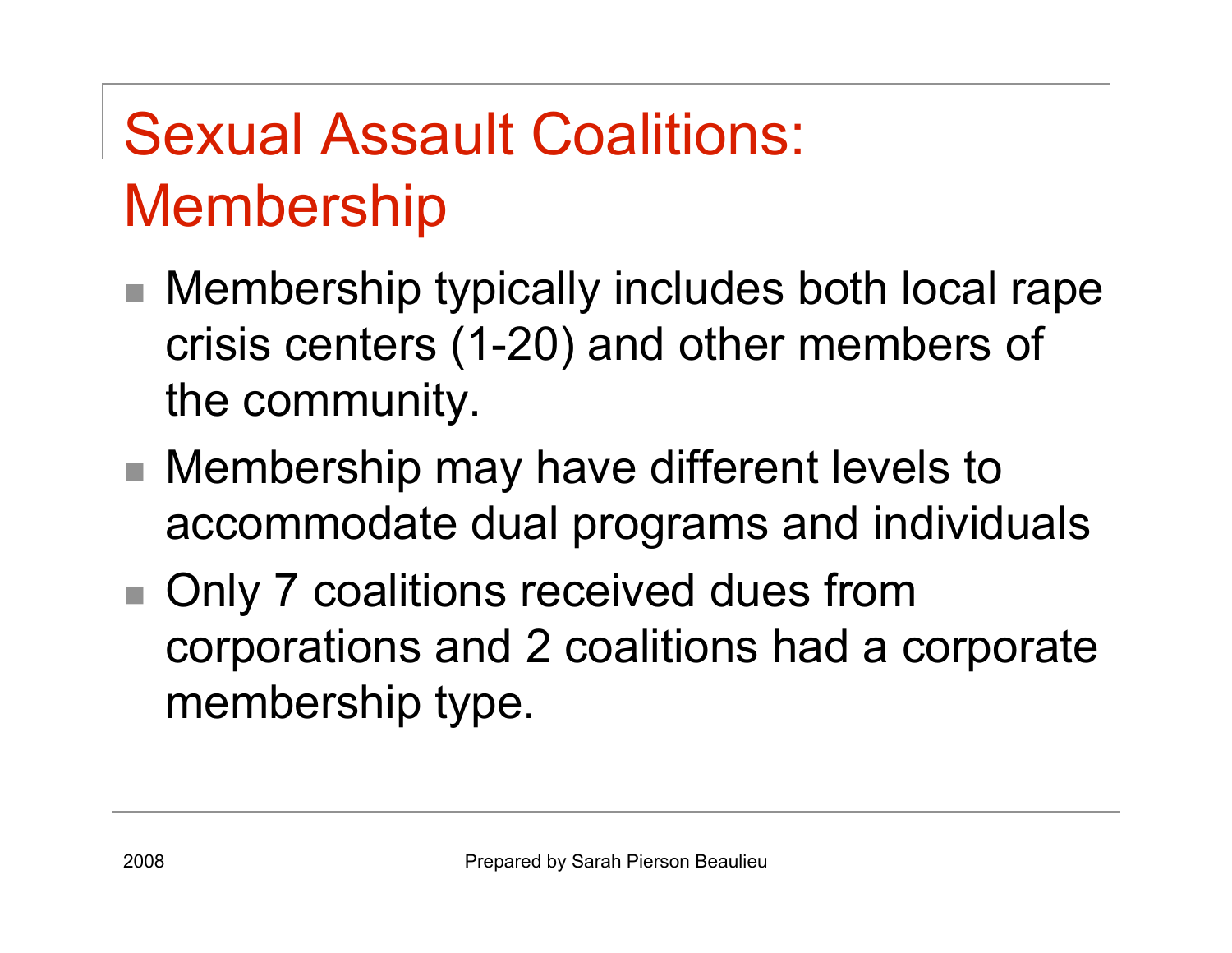### Sexual Assault Coalitions: Membership

- Membership typically includes both local rape crisis centers (1-20) and other members of the community.
- Membership may have different levels to accommodate dual programs and individuals
- Only 7 coalitions received dues from corporations and 2 coalitions had a corporate membership type.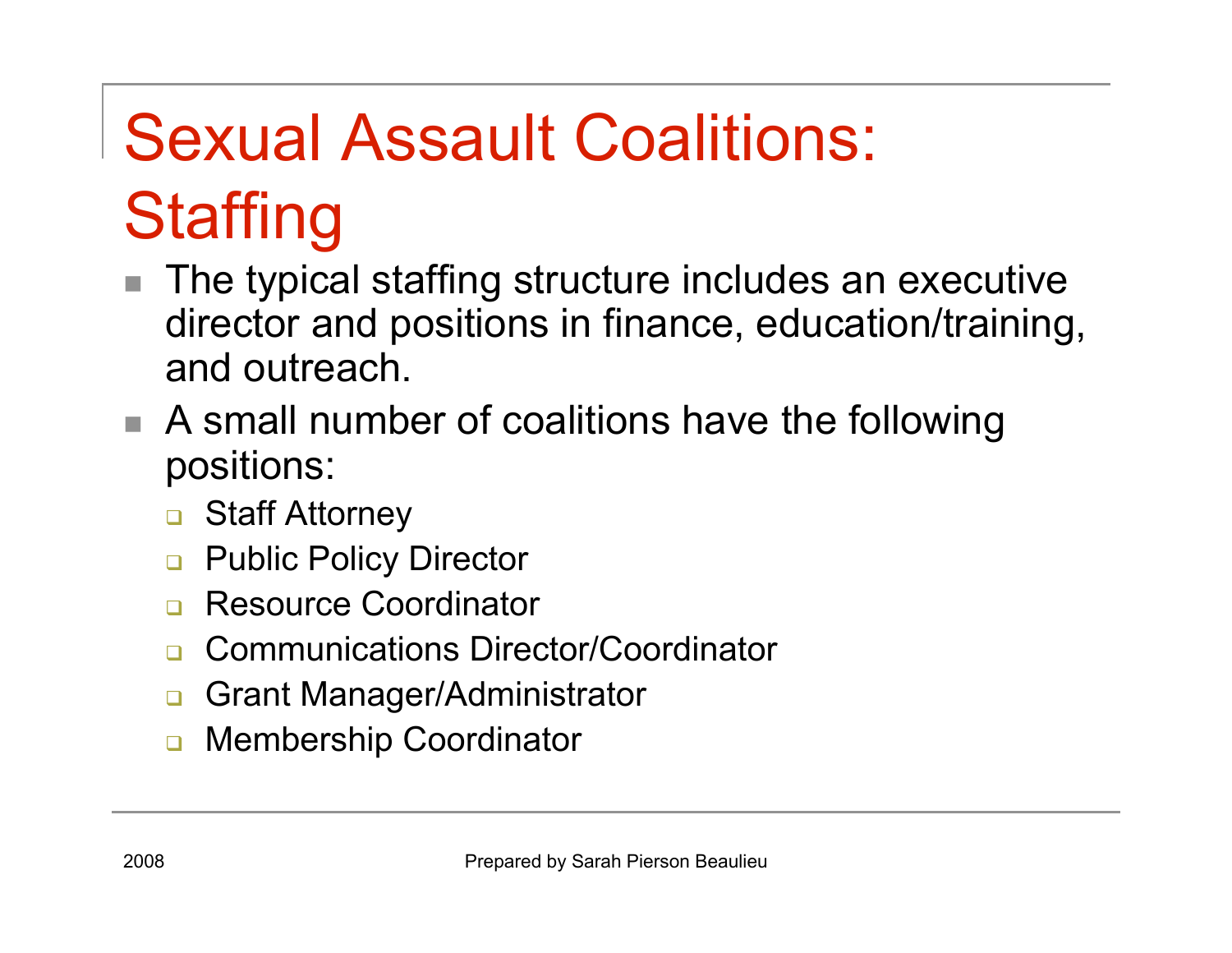# Sexual Assault Coalitions: **Staffing**

- The typical staffing structure includes an executive director and positions in finance, education/training, and outreach.
- A small number of coalitions have the following positions:
	- Staff Attorney
	- Public Policy Director
	- Resource Coordinator
	- Communications Director/Coordinator
	- □ Grant Manager/Administrator
	- **D** Membership Coordinator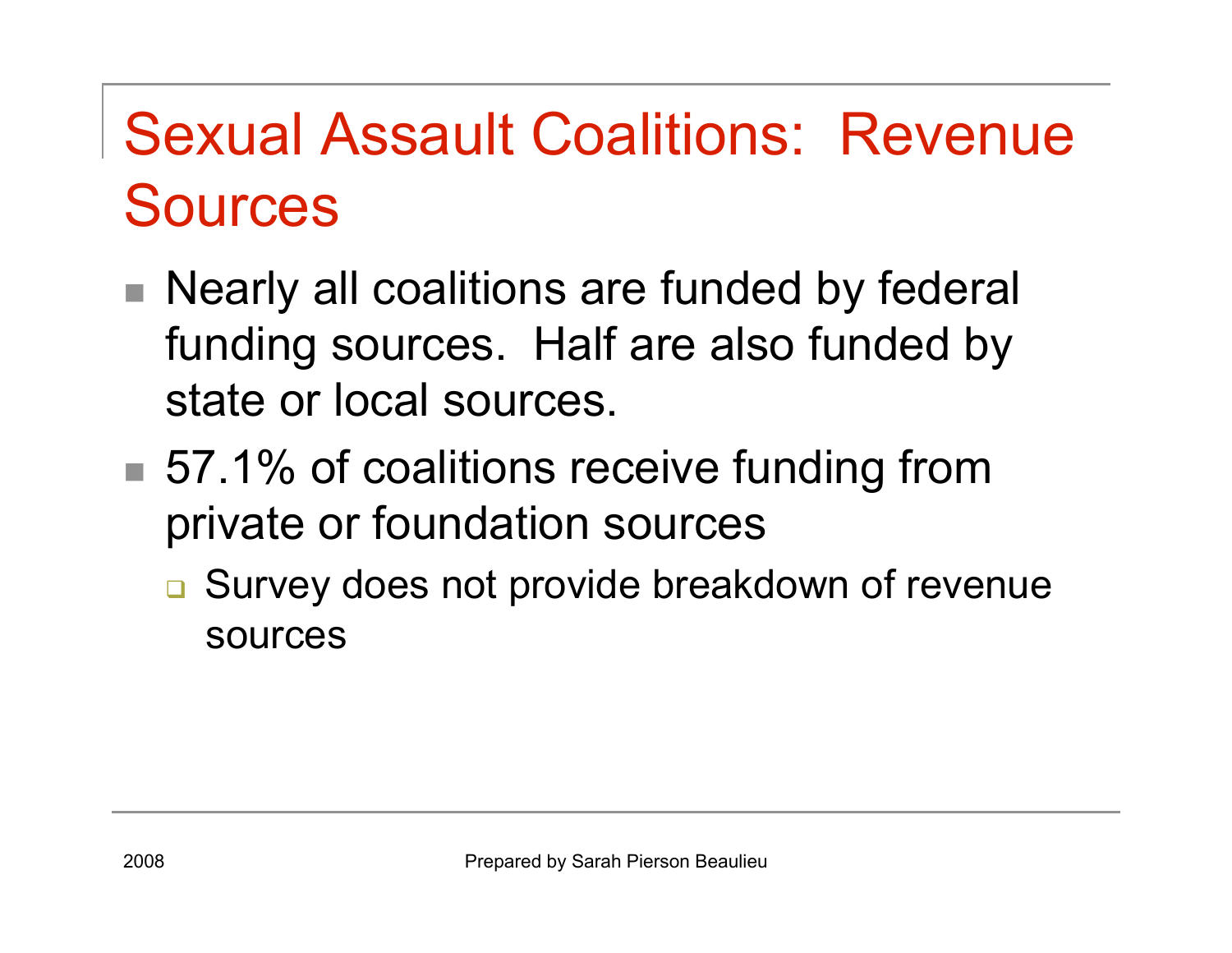### Sexual Assault Coalitions: Revenue Sources

- Nearly all coalitions are funded by federal funding sources. Half are also funded by state or local sources.
- 57.1% of coalitions receive funding from private or foundation sources
	- **□ Survey does not provide breakdown of revenue** sources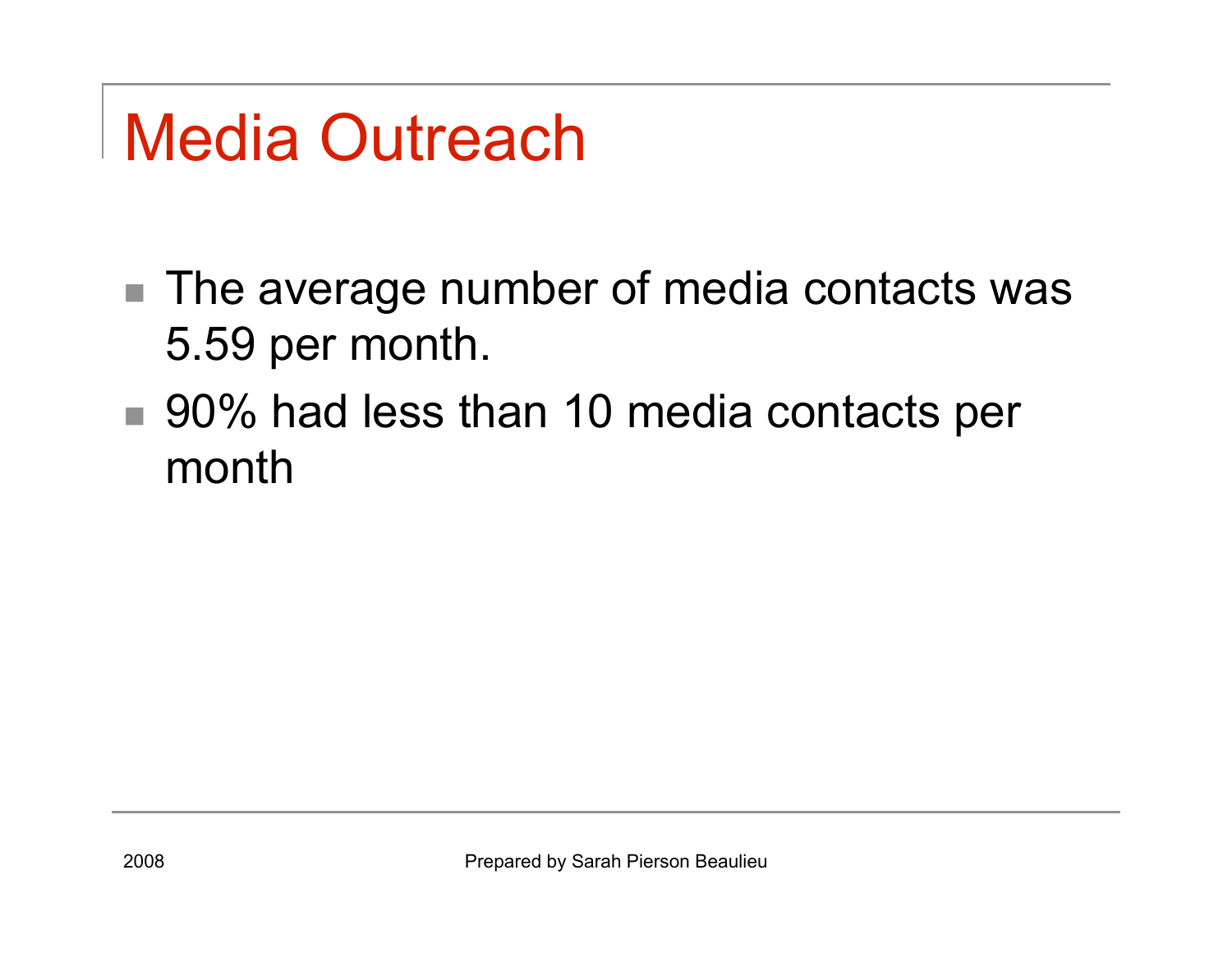# Media Outreach

- The average number of media contacts was 5.59 per month.
- 90% had less than 10 media contacts per month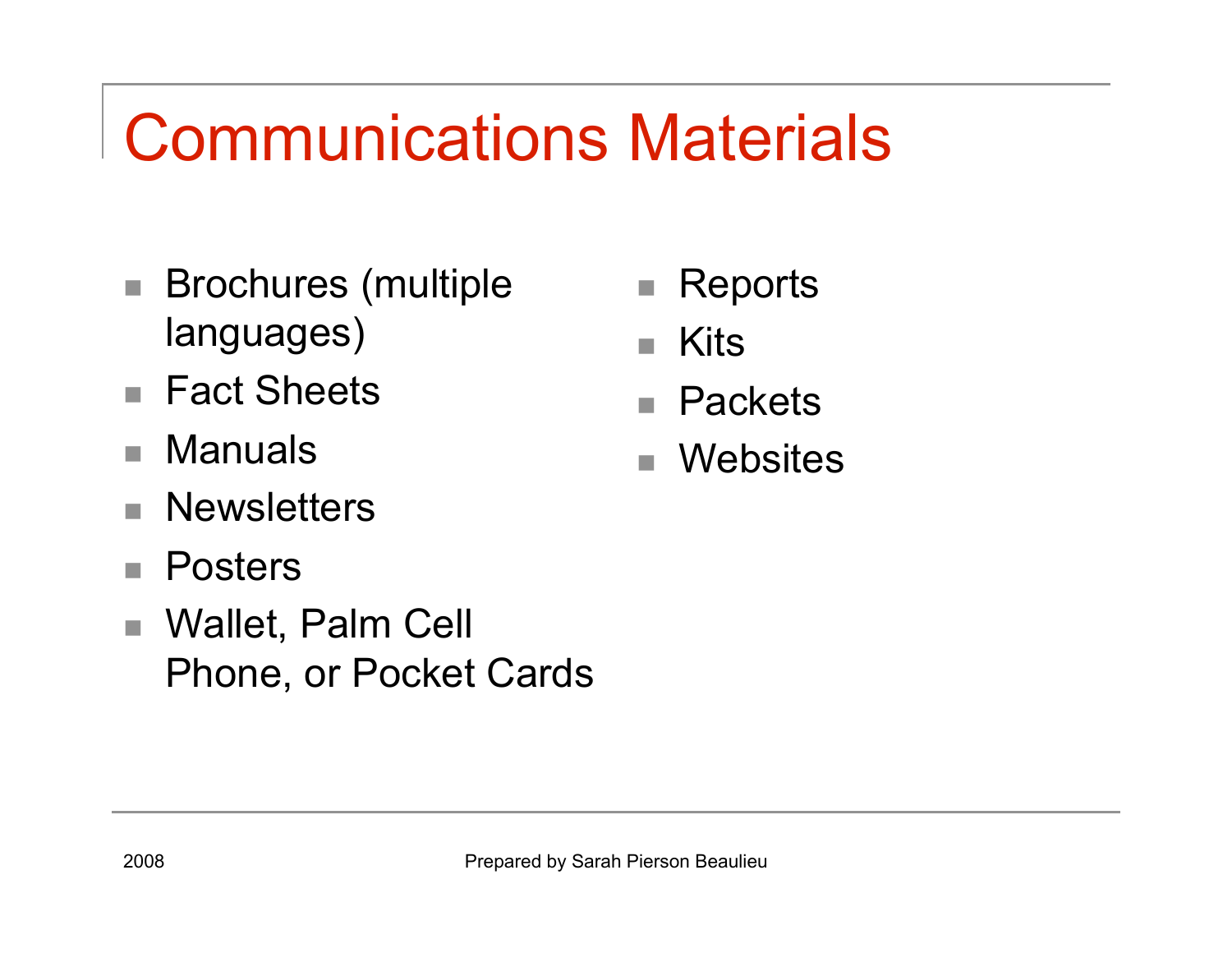## Communications Materials

- Brochures (multiple languages)
- Fact Sheets
- Manuals
- **Newsletters**
- Posters
- Wallet, Palm Cell Phone, or Pocket Cards
- Reports
- Kits
- Packets
- Websites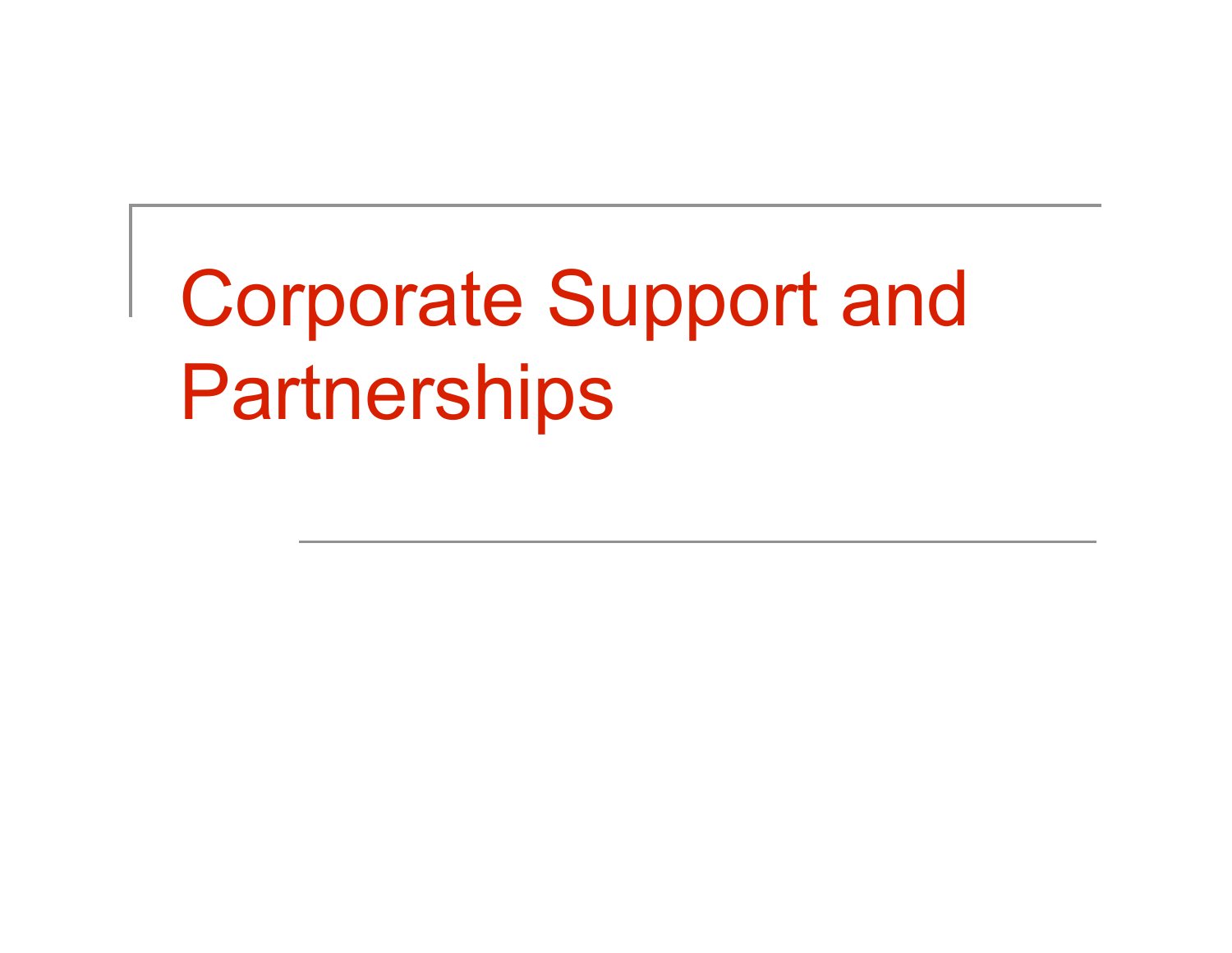# Corporate Support and **Partnerships**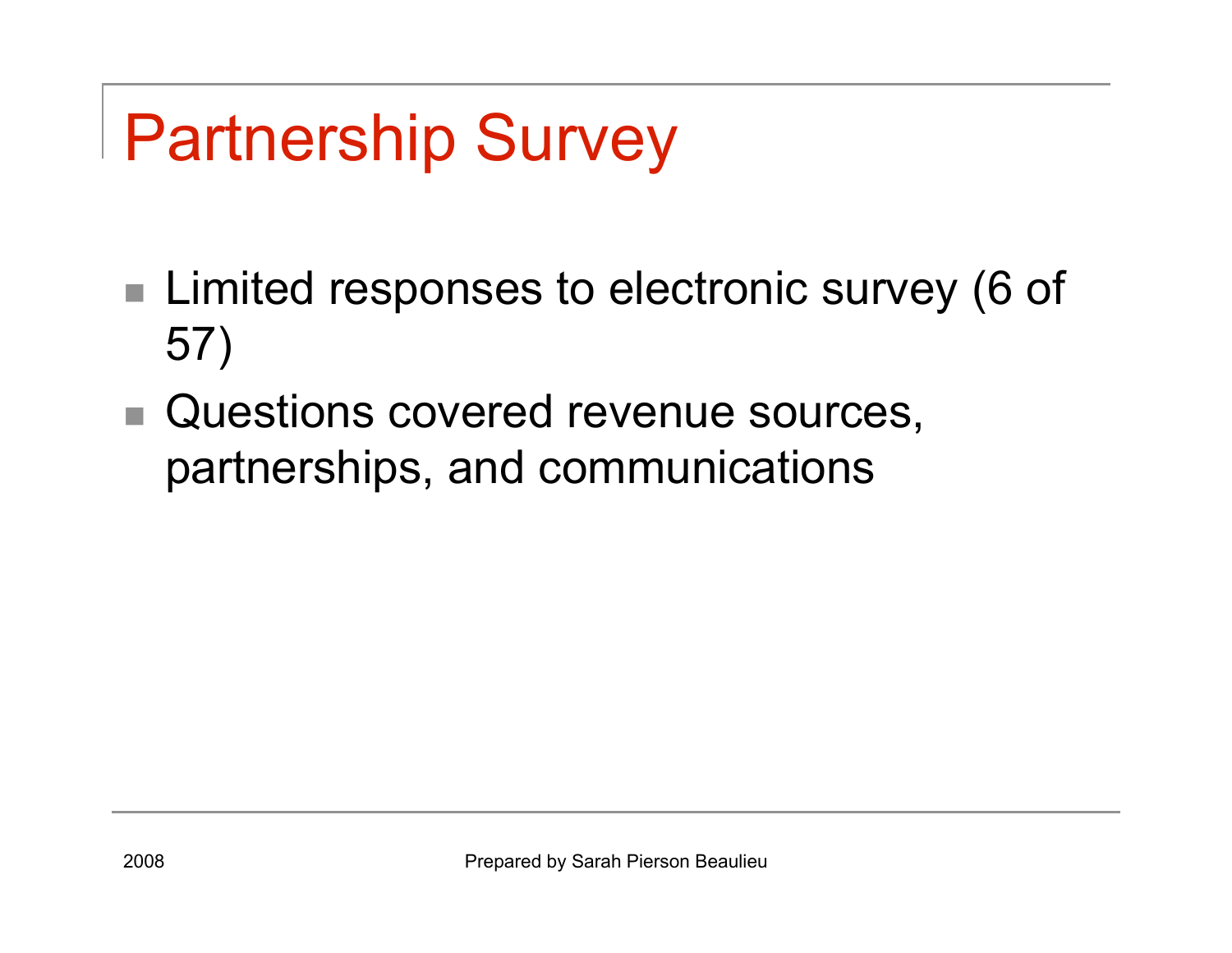# Partnership Survey

- Limited responses to electronic survey (6 of 57)
- Questions covered revenue sources, partnerships, and communications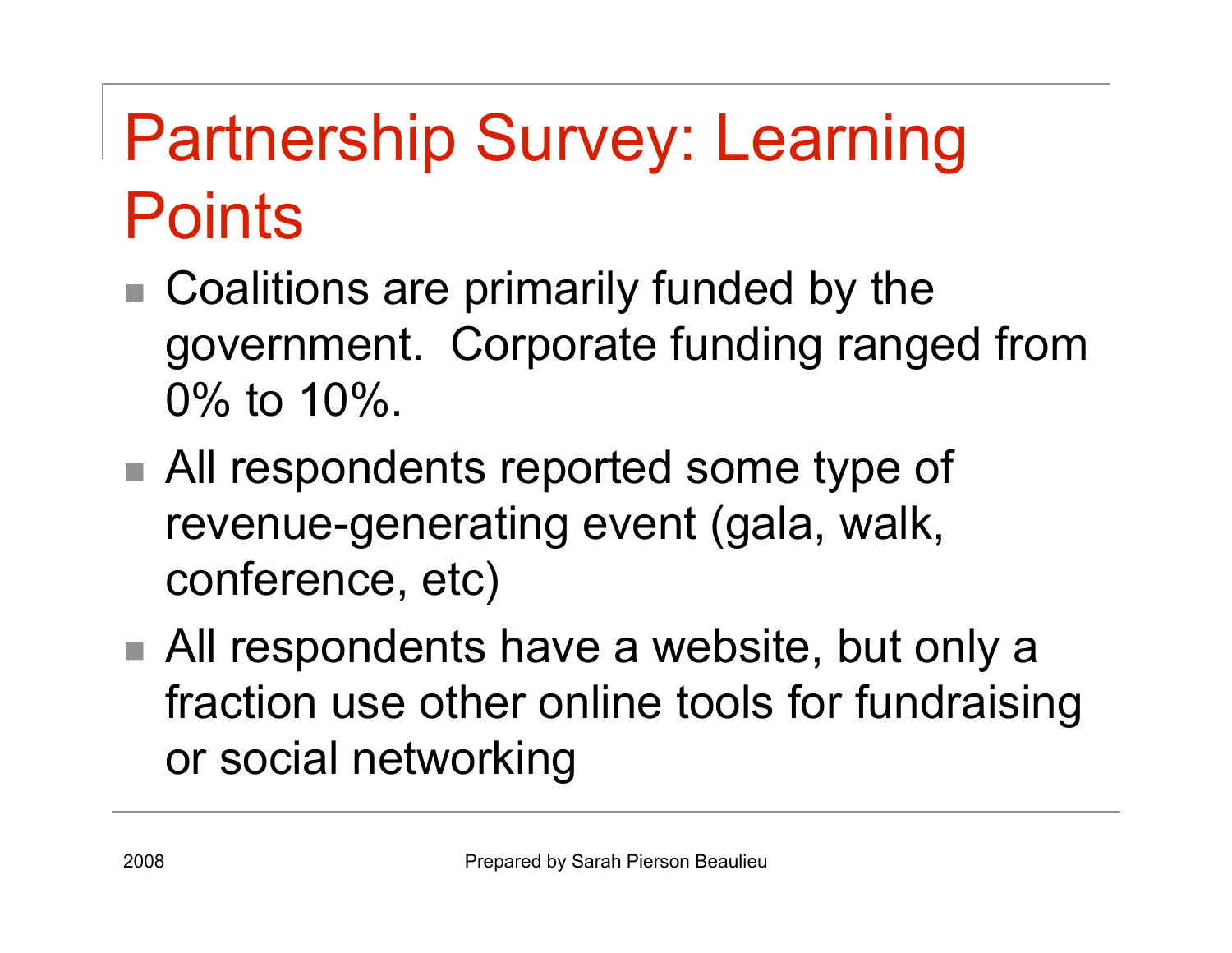# Partnership Survey: Learning **Points**

- Coalitions are primarily funded by the government. Corporate funding ranged from 0% to 10%.
- All respondents reported some type of revenue-generating event (gala, walk, conference, etc)
- All respondents have a website, but only a fraction use other online tools for fundraising or social networking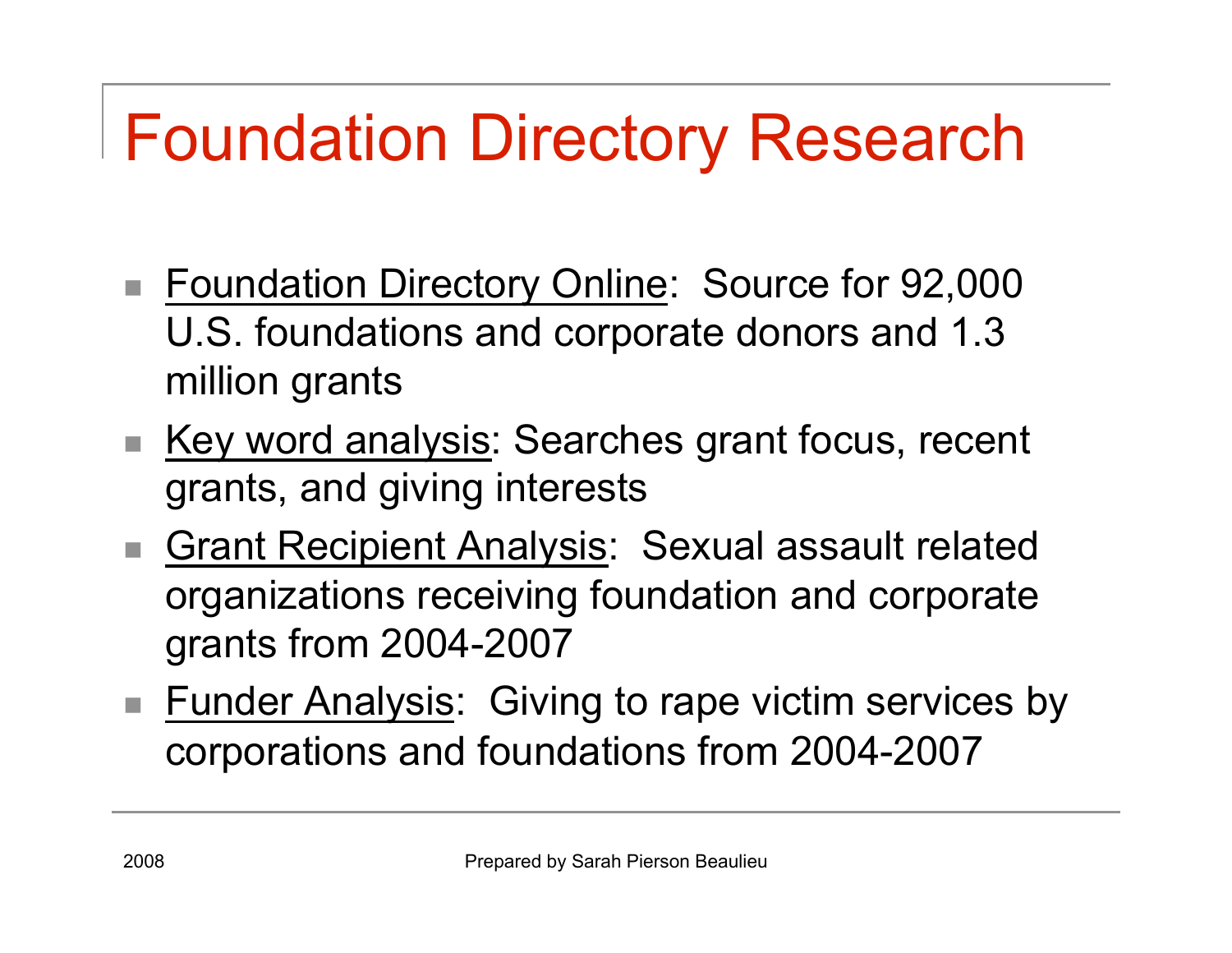## Foundation Directory Research

- Foundation Directory Online: Source for 92,000 U.S. foundations and corporate donors and 1.3 million grants
- Key word analysis: Searches grant focus, recent grants, and giving interests
- Grant Recipient Analysis: Sexual assault related organizations receiving foundation and corporate grants from 2004-2007
- Funder Analysis: Giving to rape victim services by corporations and foundations from 2004-2007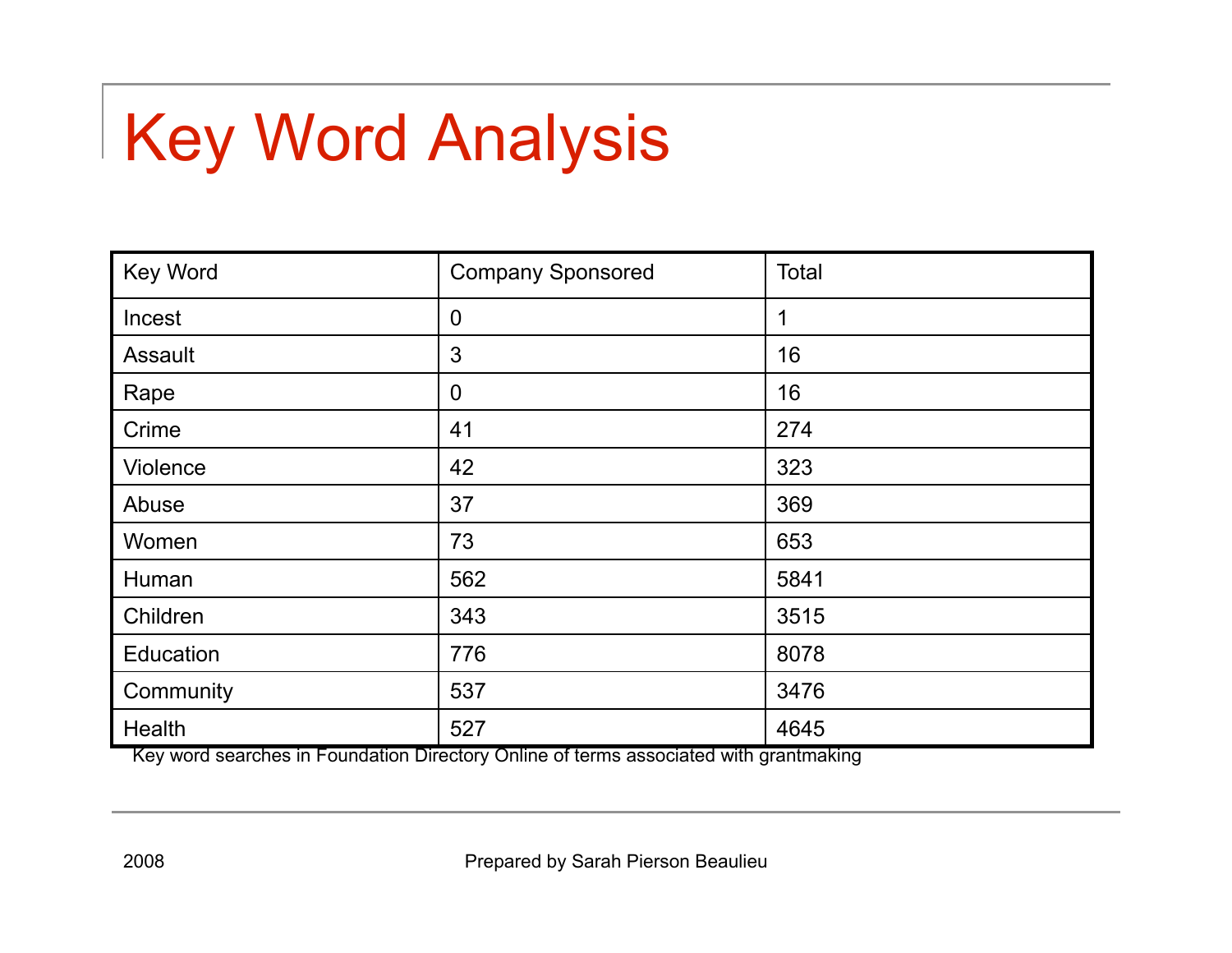# Key Word Analysis

| <b>Key Word</b> | <b>Company Sponsored</b> | <b>Total</b> |
|-----------------|--------------------------|--------------|
| Incest          | $\overline{0}$           | 1            |
| Assault         | 3                        | 16           |
| Rape            | $\mathbf 0$              | 16           |
| Crime           | 41                       | 274          |
| Violence        | 42                       | 323          |
| Abuse           | 37                       | 369          |
| Women           | 73                       | 653          |
| Human           | 562                      | 5841         |
| Children        | 343                      | 3515         |
| Education       | 776                      | 8078         |
| Community       | 537                      | 3476         |
| Health          | 527                      | 4645         |

Key word searches in Foundation Directory Online of terms associated with grantmaking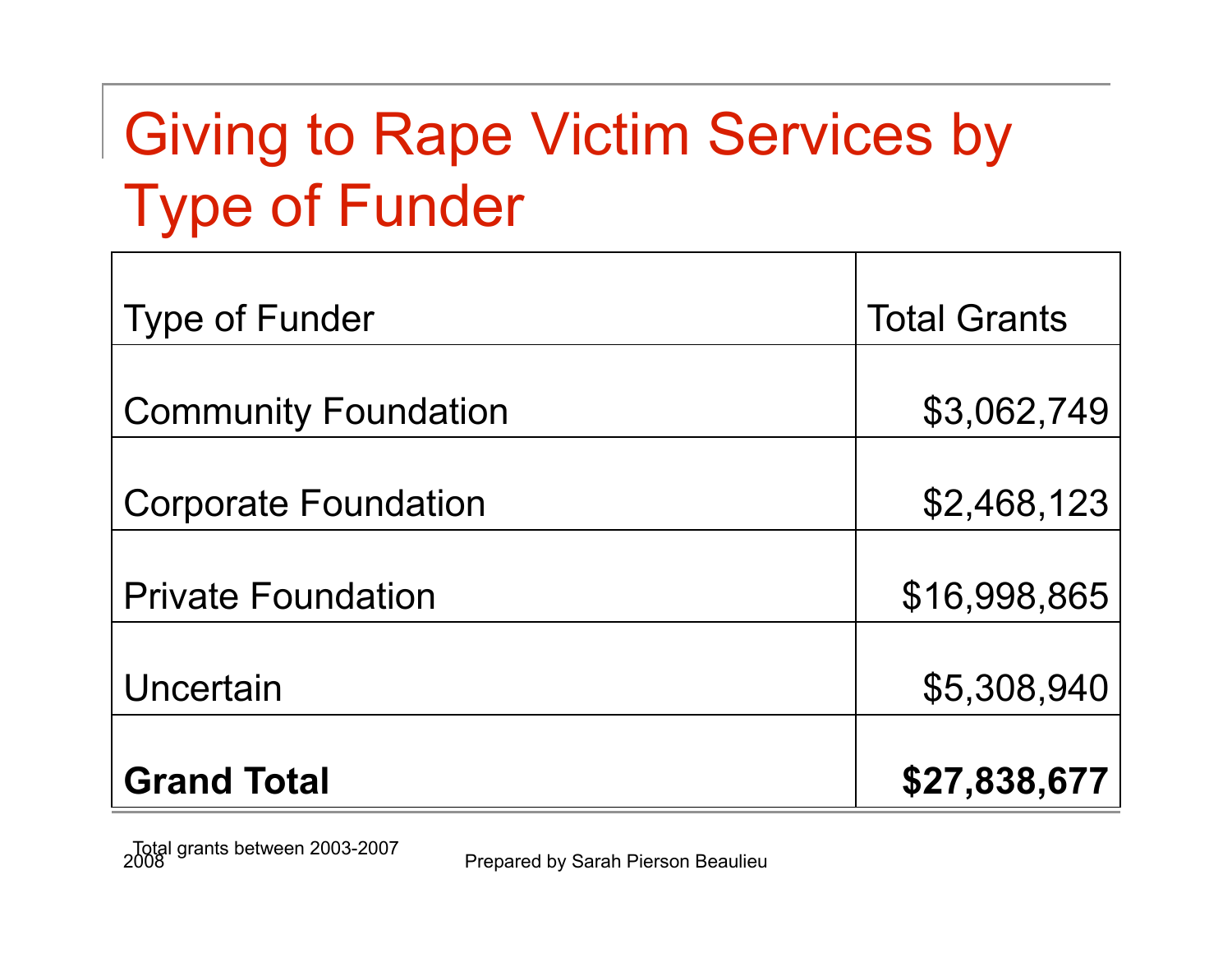## Giving to Rape Victim Services by Type of Funder

| <b>Type of Funder</b>       | <b>Total Grants</b> |
|-----------------------------|---------------------|
|                             |                     |
| <b>Community Foundation</b> | \$3,062,749         |
| <b>Corporate Foundation</b> | \$2,468,123         |
| <b>Private Foundation</b>   | \$16,998,865        |
|                             |                     |
| Uncertain                   | \$5,308,940         |
| <b>Grand Total</b>          | \$27,838,677        |

Prepared by Sarah Pierson Beaulieu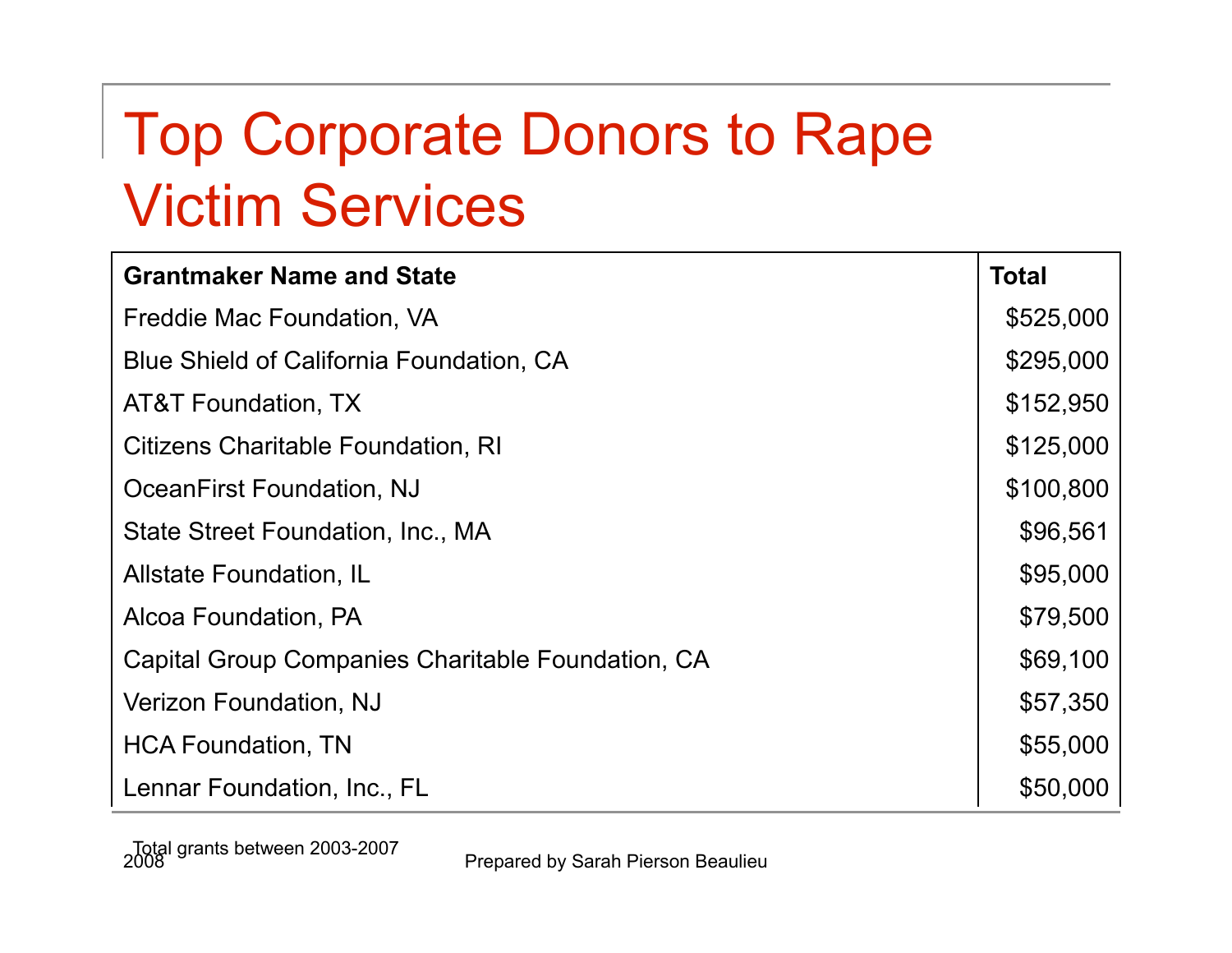## Top Corporate Donors to Rape Victim Services

| <b>Grantmaker Name and State</b>                  | <b>Total</b> |
|---------------------------------------------------|--------------|
| Freddie Mac Foundation, VA                        | \$525,000    |
| Blue Shield of California Foundation, CA          | \$295,000    |
| AT&T Foundation, TX                               | \$152,950    |
| Citizens Charitable Foundation, RI                | \$125,000    |
| OceanFirst Foundation, NJ                         | \$100,800    |
| State Street Foundation, Inc., MA                 | \$96,561     |
| Allstate Foundation, IL                           | \$95,000     |
| Alcoa Foundation, PA                              | \$79,500     |
| Capital Group Companies Charitable Foundation, CA | \$69,100     |
| Verizon Foundation, NJ                            | \$57,350     |
| <b>HCA Foundation, TN</b>                         | \$55,000     |
| Lennar Foundation, Inc., FL                       | \$50,000     |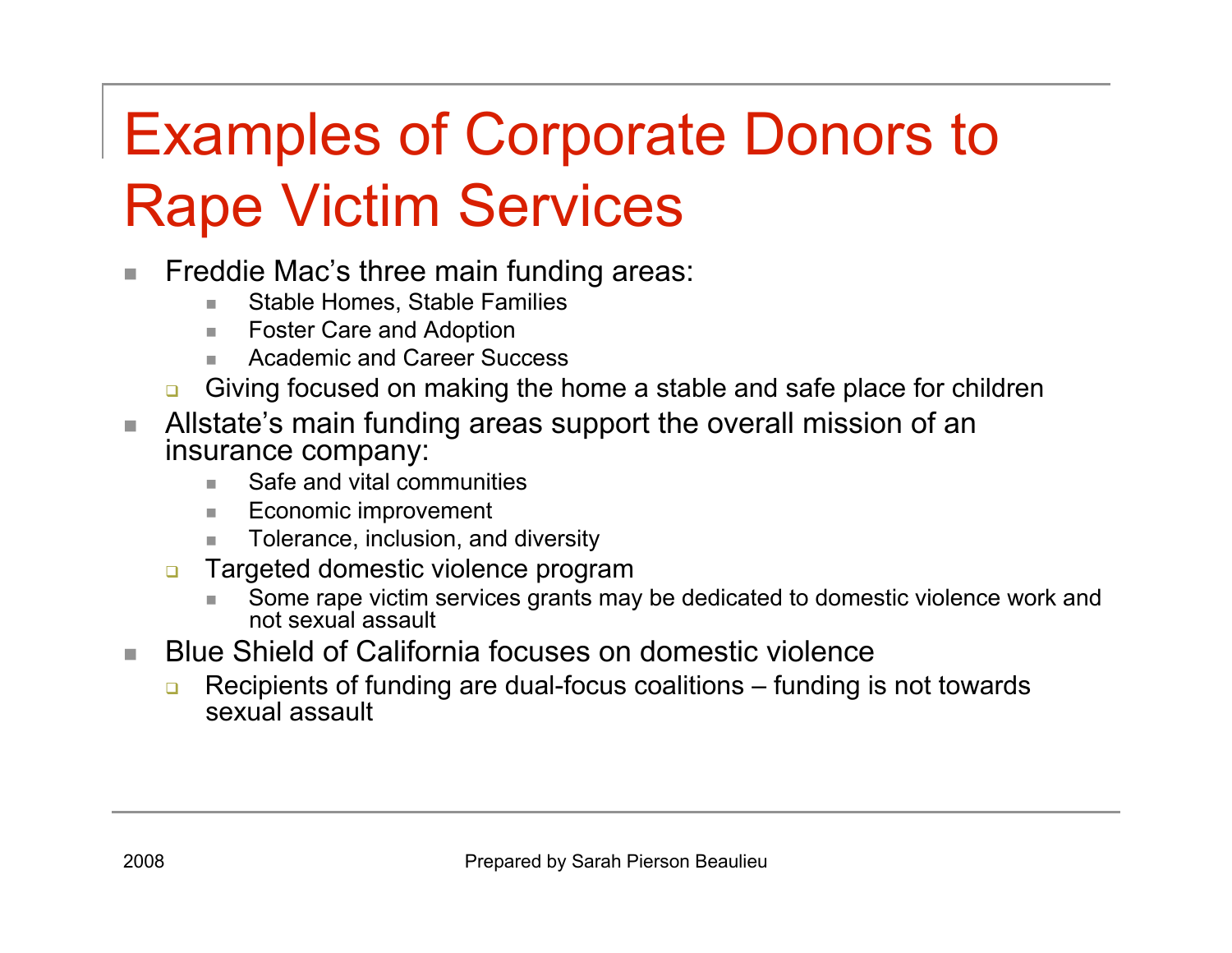## Examples of Corporate Donors to Rape Victim Services

- **Fiamage The Content** Freddie Mac's three main funding areas:
	- Stable Homes, Stable Families
	- Foster Care and Adoption
	- Academic and Career Success
	- **Giving focused on making the home a stable and safe place for children**
- **Allstate's main funding areas support the overall mission of an** insurance company:
	- Safe and vital communities
	- **Economic improvement**
	- Tolerance, inclusion, and diversity
	- **Targeted domestic violence program** 
		- Some rape victim services grants may be dedicated to domestic violence work and not sexual assault
- **Blue Shield of California focuses on domestic violence** 
	- **Recipients of funding are dual-focus coalitions funding is not towards** sexual assault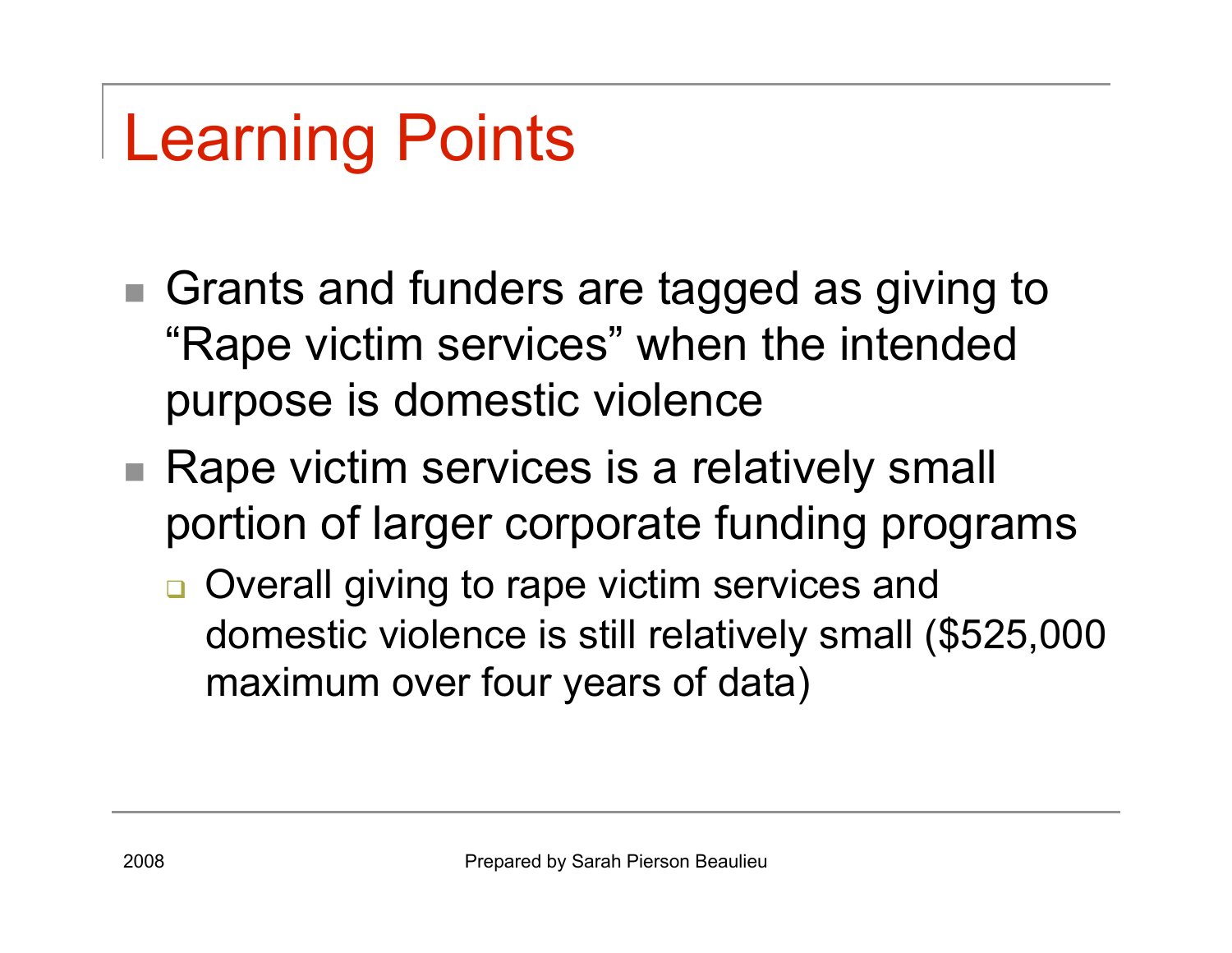# Learning Points

- Grants and funders are tagged as giving to "Rape victim services" when the intended purpose is domestic violence
- Rape victim services is a relatively small portion of larger corporate funding programs
	- **□** Overall giving to rape victim services and domestic violence is still relatively small (\$525,000 maximum over four years of data)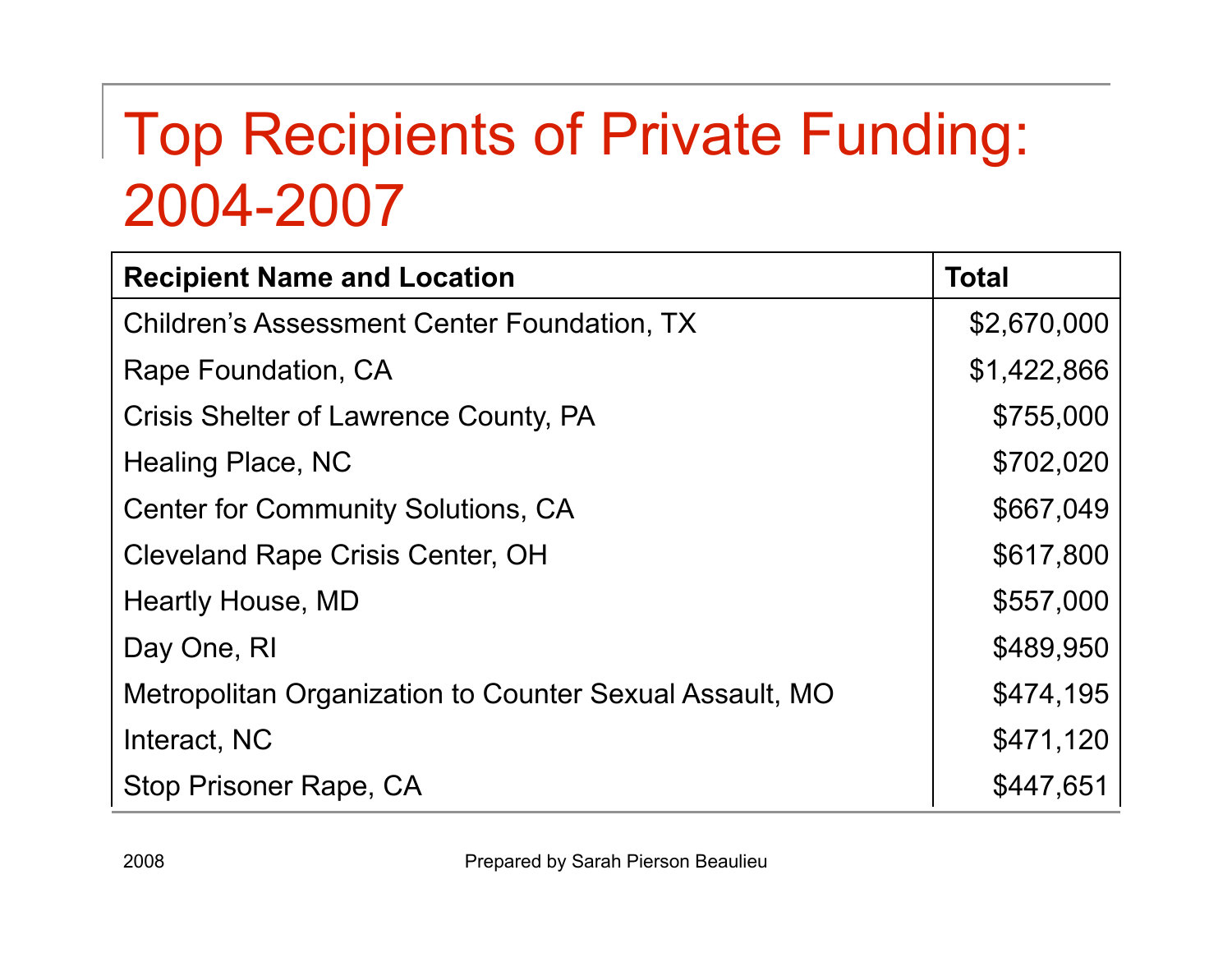### Top Recipients of Private Funding: 2004-2007

| <b>Recipient Name and Location</b>                      | <b>Total</b> |
|---------------------------------------------------------|--------------|
| <b>Children's Assessment Center Foundation, TX</b>      | \$2,670,000  |
| Rape Foundation, CA                                     | \$1,422,866  |
| Crisis Shelter of Lawrence County, PA                   | \$755,000    |
| Healing Place, NC                                       | \$702,020    |
| <b>Center for Community Solutions, CA</b>               | \$667,049    |
| <b>Cleveland Rape Crisis Center, OH</b>                 | \$617,800    |
| Heartly House, MD                                       | \$557,000    |
| Day One, RI                                             | \$489,950    |
| Metropolitan Organization to Counter Sexual Assault, MO | \$474,195    |
| Interact, NC                                            | \$471,120    |
| Stop Prisoner Rape, CA                                  | \$447,651    |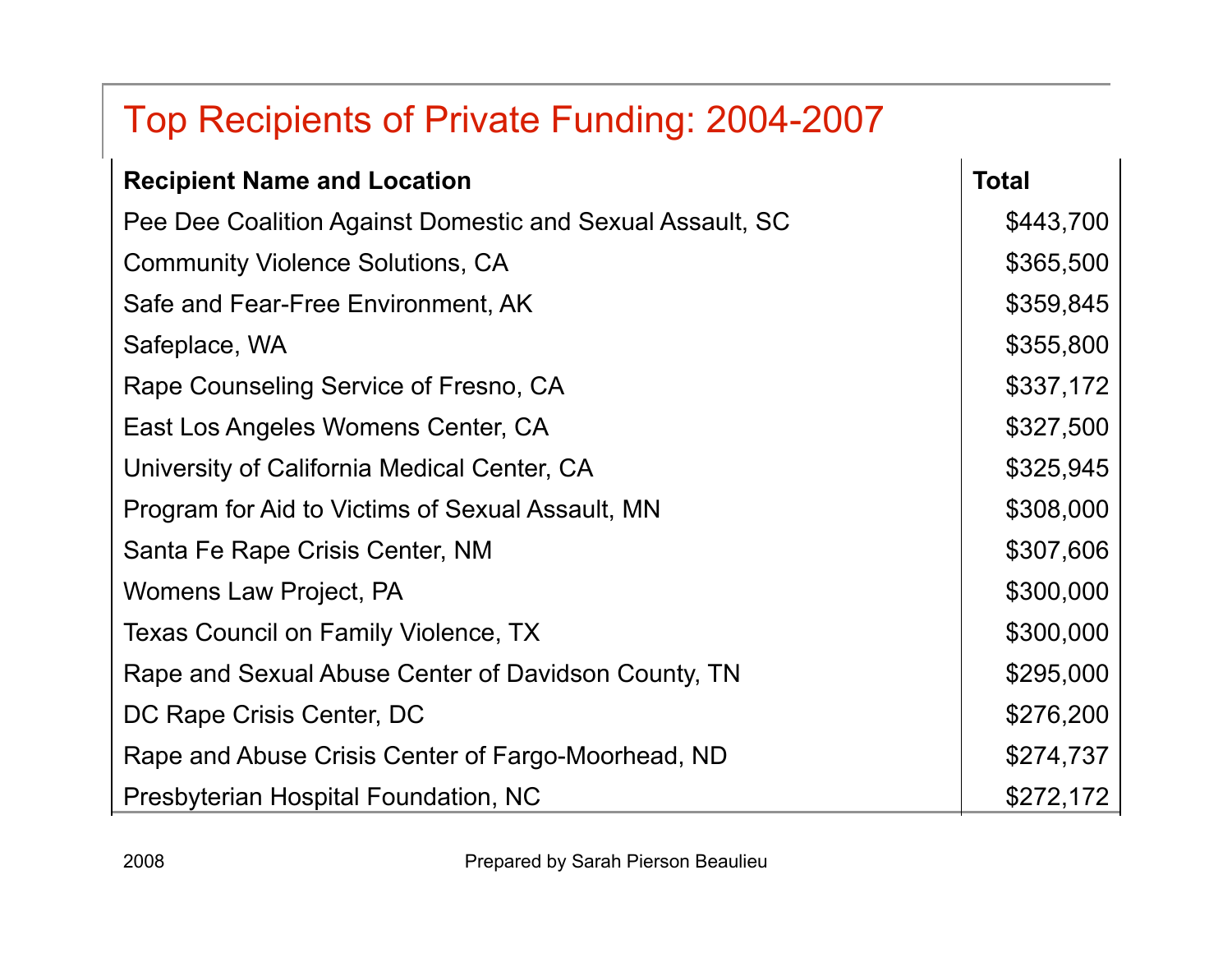### Top Recipients of Private Funding: 2004-2007

| <b>Recipient Name and Location</b>                        | <b>Total</b> |
|-----------------------------------------------------------|--------------|
| Pee Dee Coalition Against Domestic and Sexual Assault, SC | \$443,700    |
| <b>Community Violence Solutions, CA</b>                   | \$365,500    |
| Safe and Fear-Free Environment, AK                        | \$359,845    |
| Safeplace, WA                                             | \$355,800    |
| Rape Counseling Service of Fresno, CA                     | \$337,172    |
| East Los Angeles Womens Center, CA                        | \$327,500    |
| University of California Medical Center, CA               | \$325,945    |
| Program for Aid to Victims of Sexual Assault, MN          | \$308,000    |
| Santa Fe Rape Crisis Center, NM                           | \$307,606    |
| Womens Law Project, PA                                    | \$300,000    |
| Texas Council on Family Violence, TX                      | \$300,000    |
| Rape and Sexual Abuse Center of Davidson County, TN       | \$295,000    |
| DC Rape Crisis Center, DC                                 | \$276,200    |
| Rape and Abuse Crisis Center of Fargo-Moorhead, ND        | \$274,737    |
| Presbyterian Hospital Foundation, NC                      | \$272,172    |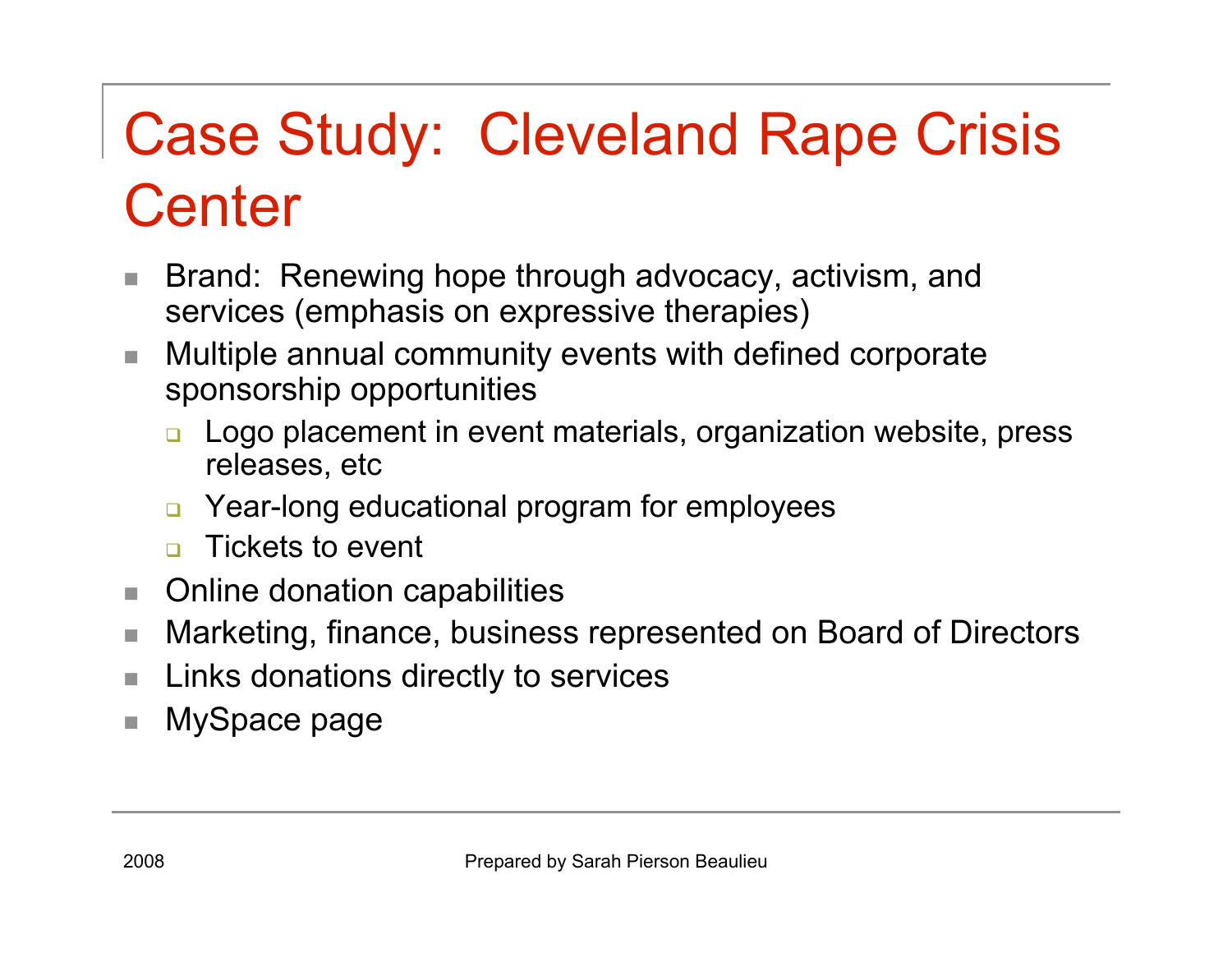## Case Study: Cleveland Rape Crisis **Center**

- Brand: Renewing hope through advocacy, activism, and services (emphasis on expressive therapies)
- Multiple annual community events with defined corporate sponsorship opportunities
	- **□** Logo placement in event materials, organization website, press releases, etc
	- Year-long educational program for employees
	- **n** Tickets to event
- Online donation capabilities
- Marketing, finance, business represented on Board of Directors
- **Links donations directly to services**
- MySpace page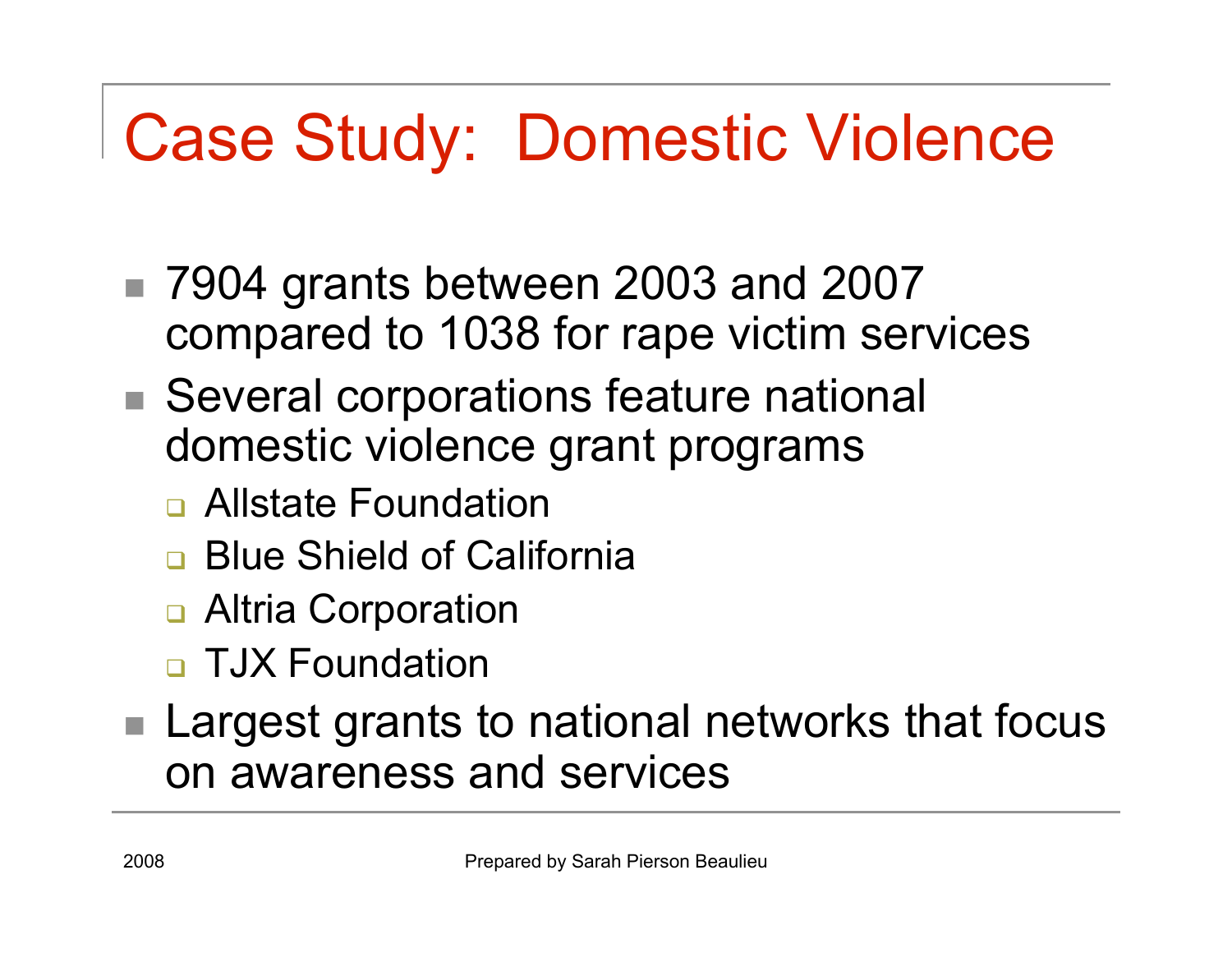# Case Study: Domestic Violence

- 7904 grants between 2003 and 2007 compared to 1038 for rape victim services
- Several corporations feature national domestic violence grant programs
	- **<u>n</u>** Allstate Foundation
	- **Blue Shield of California**
	- **□ Altria Corporation**
	- **D** TJX Foundation
- Largest grants to national networks that focus on awareness and services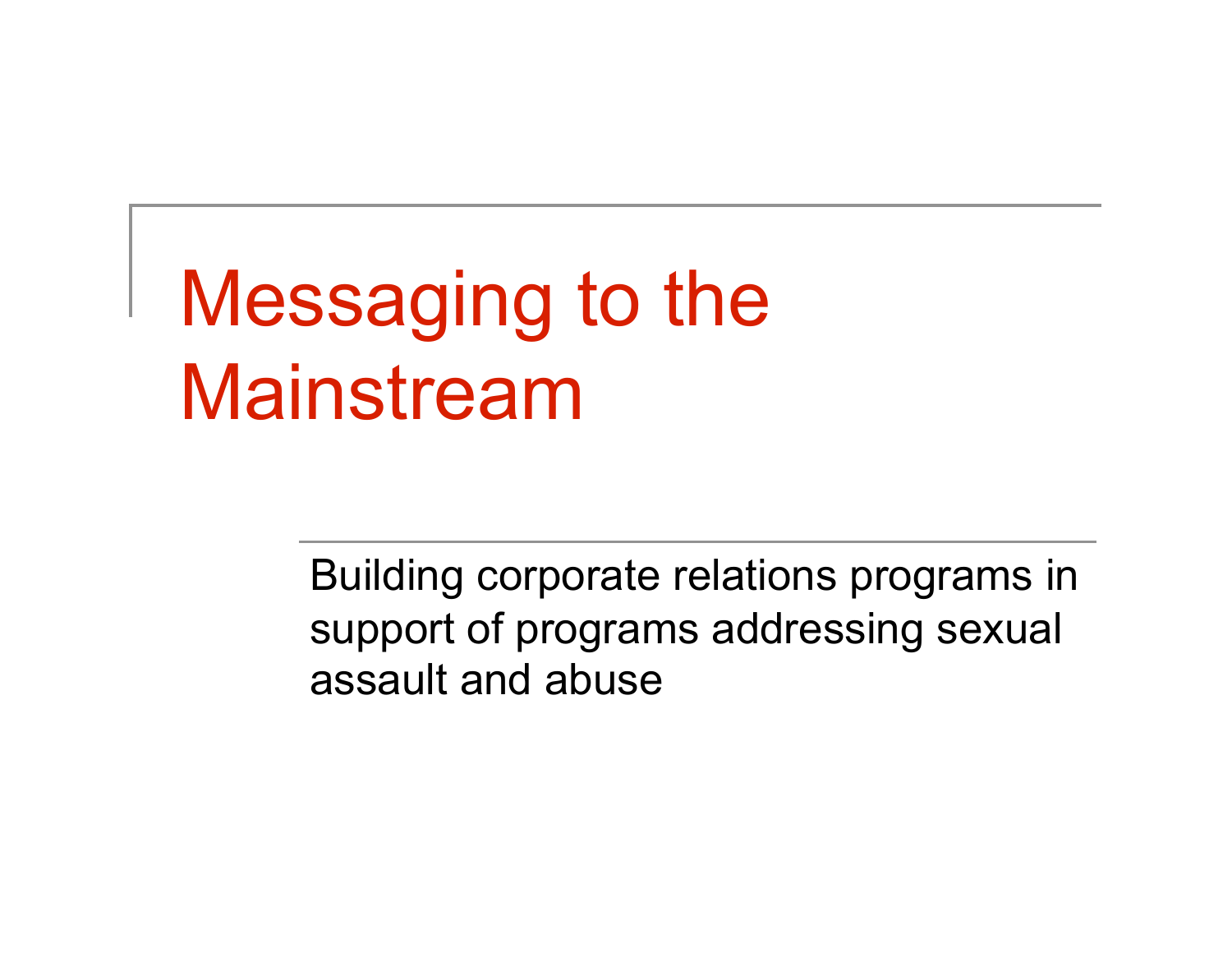# Messaging to the Mainstream

Building corporate relations programs in support of programs addressing sexual assault and abuse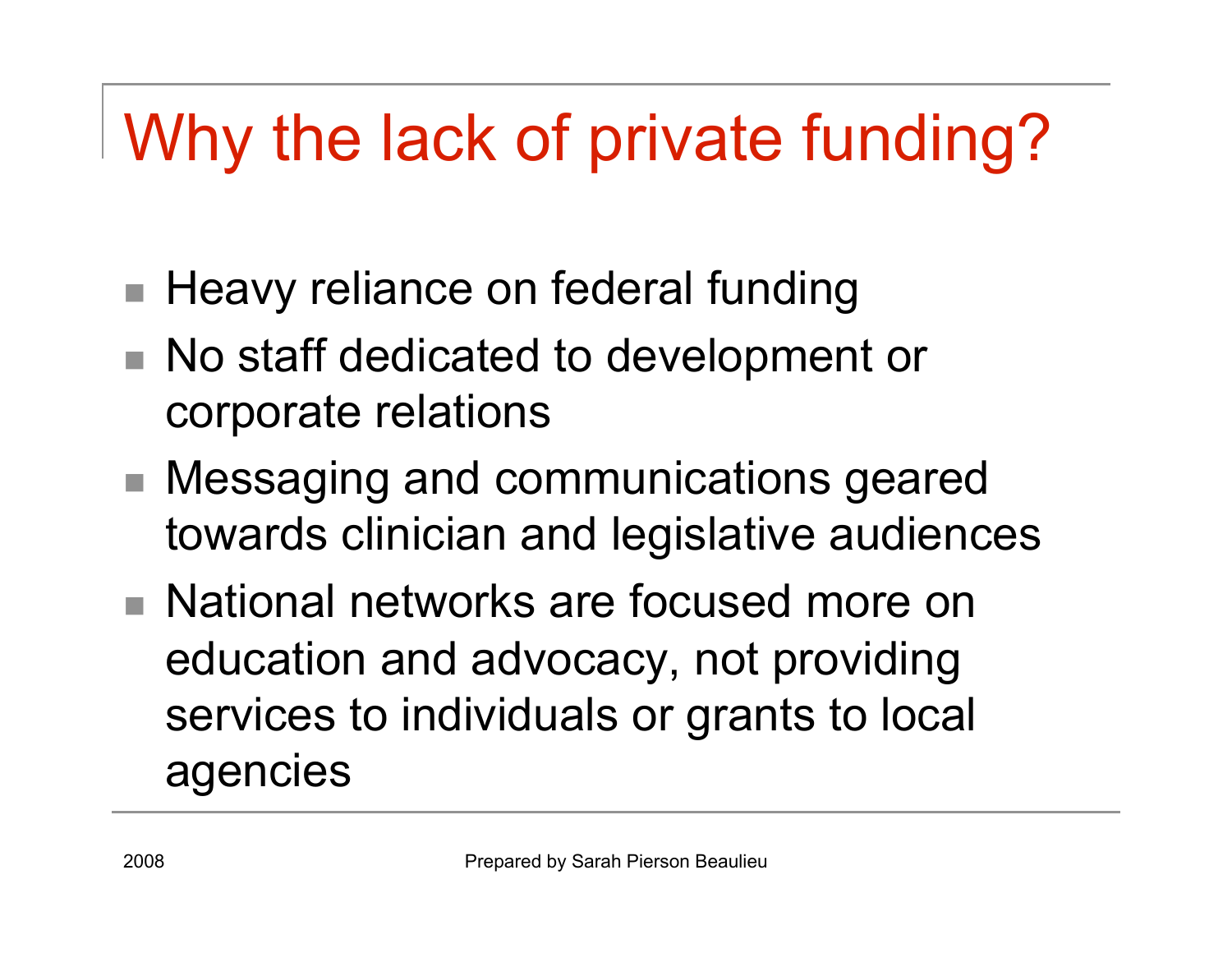# Why the lack of private funding?

- Heavy reliance on federal funding
- No staff dedicated to development or corporate relations
- Messaging and communications geared towards clinician and legislative audiences
- National networks are focused more on education and advocacy, not providing services to individuals or grants to local agencies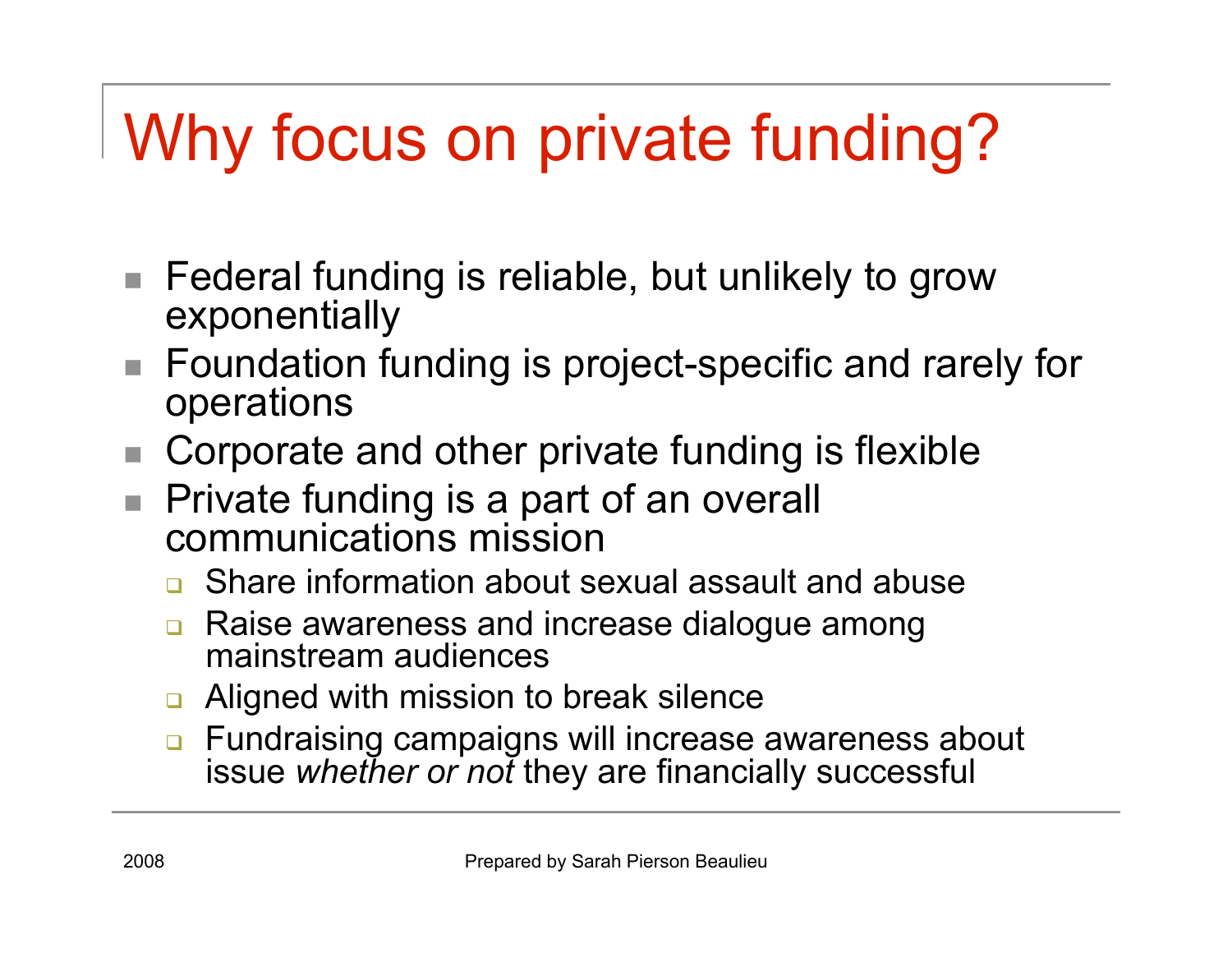# Why focus on private funding?

- Federal funding is reliable, but unlikely to grow exponentially
- Foundation funding is project-specific and rarely for operations
- Corporate and other private funding is flexible
- Private funding is a part of an overall communications mission
	- **<u>n</u>** Share information about sexual assault and abuse
	- **□** Raise awareness and increase dialogue among mainstream audiences
	- **□** Aligned with mission to break silence
	- **n** Fundraising campaigns will increase awareness about issue *whether or not* they are financially successful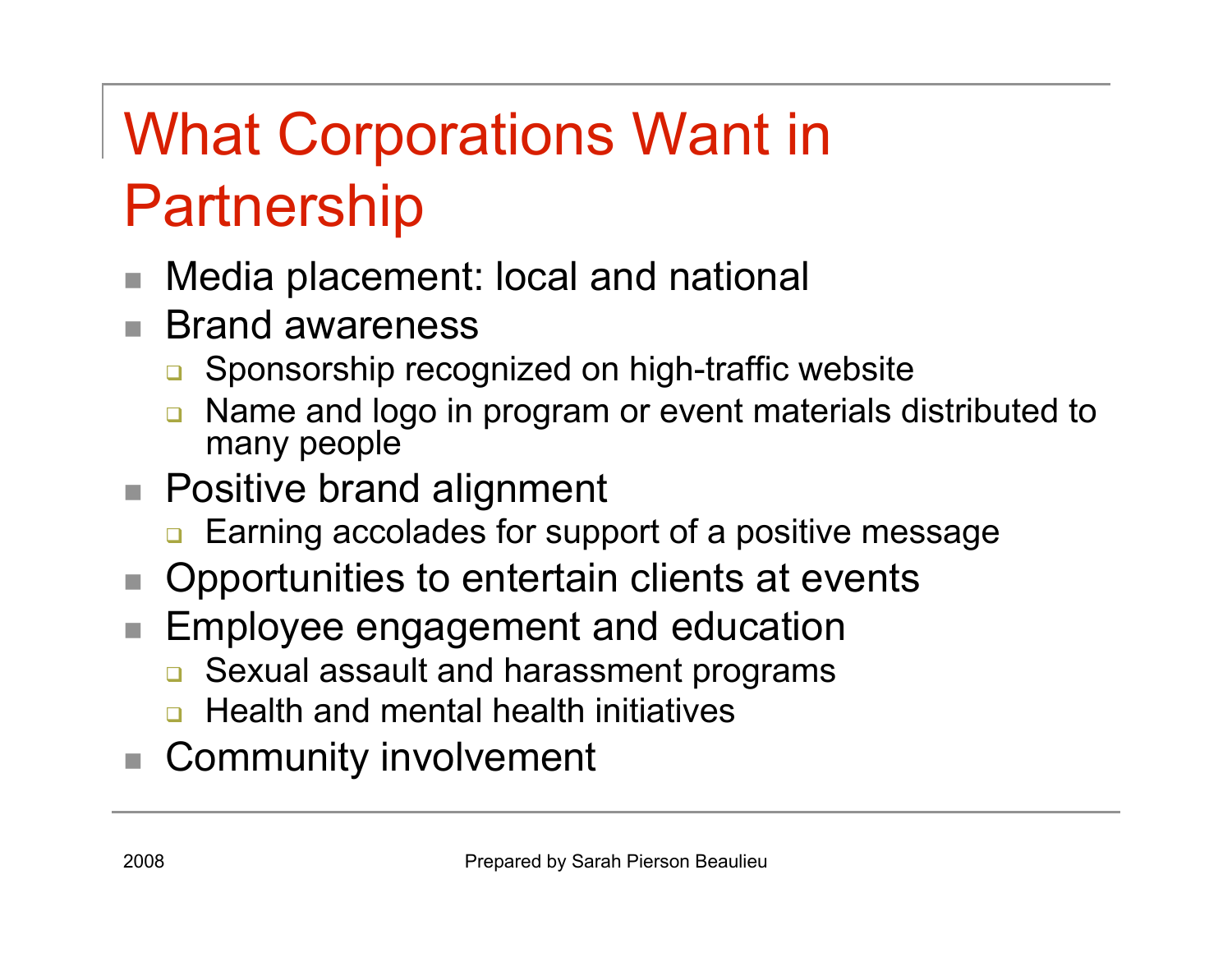## What Corporations Want in Partnership

- Media placement: local and national
- Brand awareness
	- □ Sponsorship recognized on high-traffic website
	- Name and logo in program or event materials distributed to many people
- Positive brand alignment
	- **Earning accolades for support of a positive message**
- Opportunities to entertain clients at events
- Employee engagement and education
	- **□** Sexual assault and harassment programs
	- Health and mental health initiatives
- Community involvement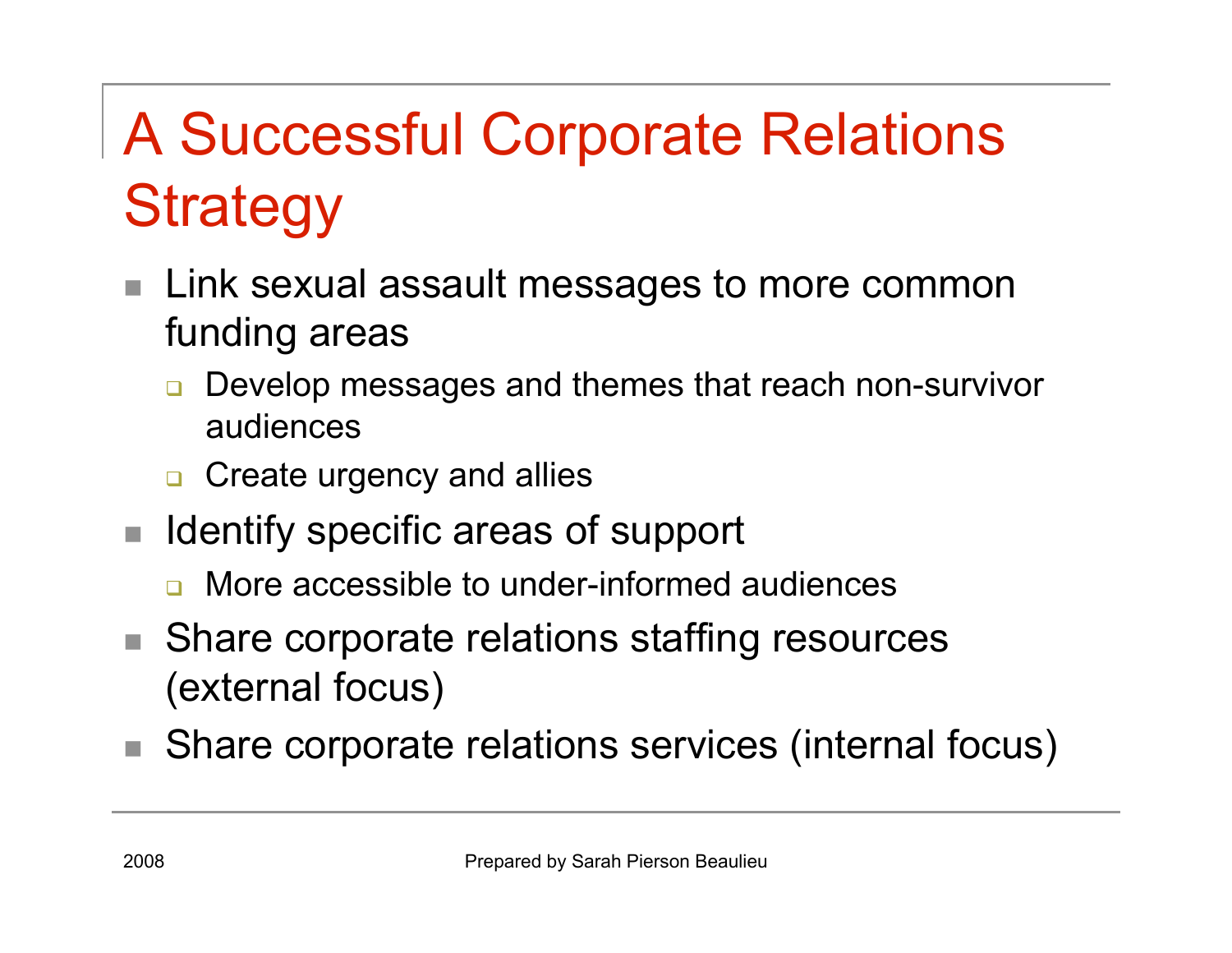# A Successful Corporate Relations **Strategy**

- Link sexual assault messages to more common funding areas
	- Develop messages and themes that reach non-survivor audiences
	- **n** Create urgency and allies
- $\blacksquare$  Identify specific areas of support
	- **n** More accessible to under-informed audiences
- Share corporate relations staffing resources (external focus)
- Share corporate relations services (internal focus)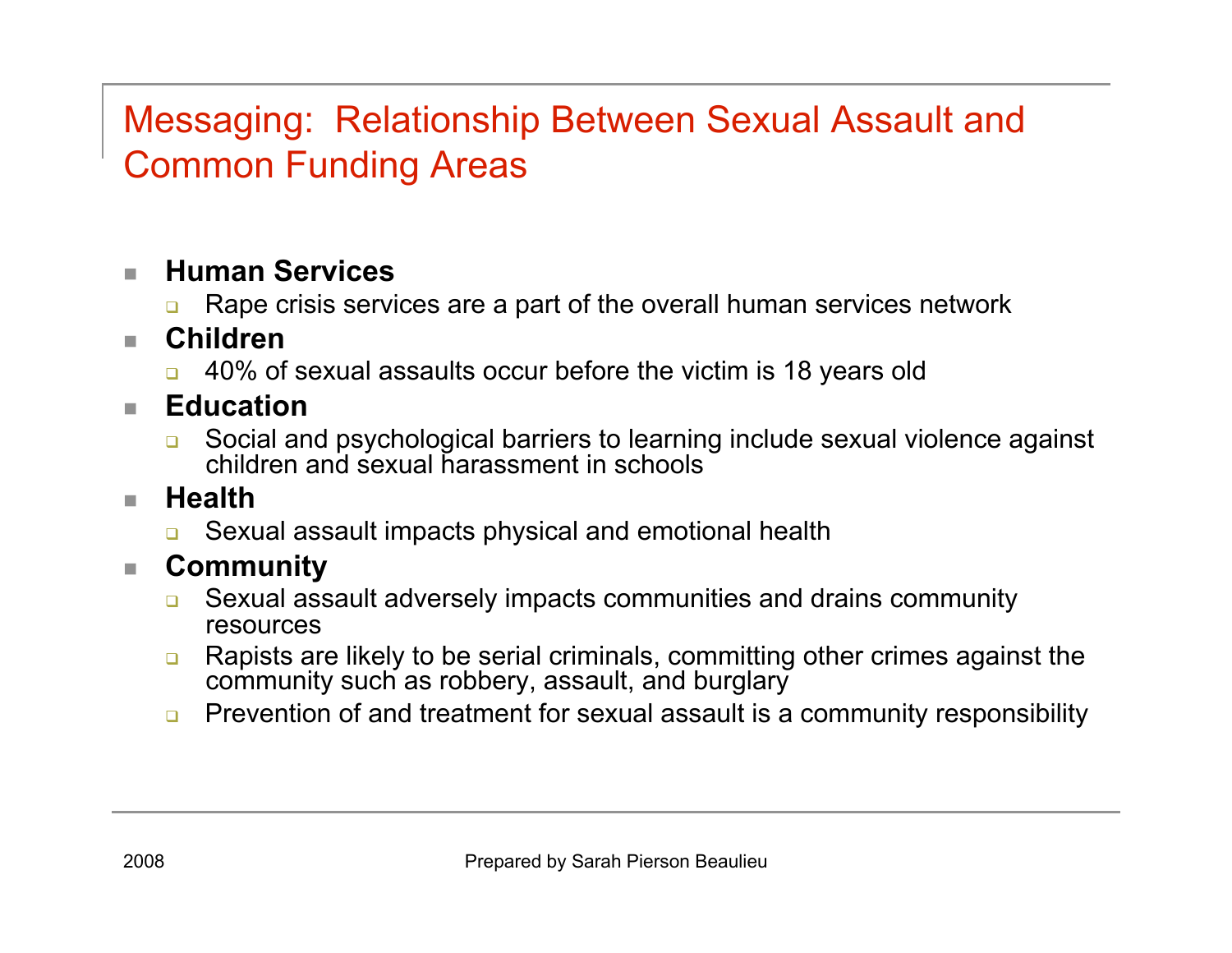#### Messaging: Relationship Between Sexual Assault and Common Funding Areas

#### **Human Services**

Rape crisis services are a part of the overall human services network

#### **Children**

- 40% of sexual assaults occur before the victim is 18 years old
- **Education** 
	- Social and psychological barriers to learning include sexual violence against children and sexual harassment in schools

#### **Health**

**Example 20 Sexual assault impacts physical and emotional health** 

#### **Community**

- **EXICUS ASSAULT ADDETER IN A SEXUAL ASSAULT ADDETER COMMUNITY** Sexual assault adversely impacts community resources
- **Rapists are likely to be serial criminals, committing other crimes against the** community such as robbery, assault, and burglary
- **Prevention of and treatment for sexual assault is a community responsibility**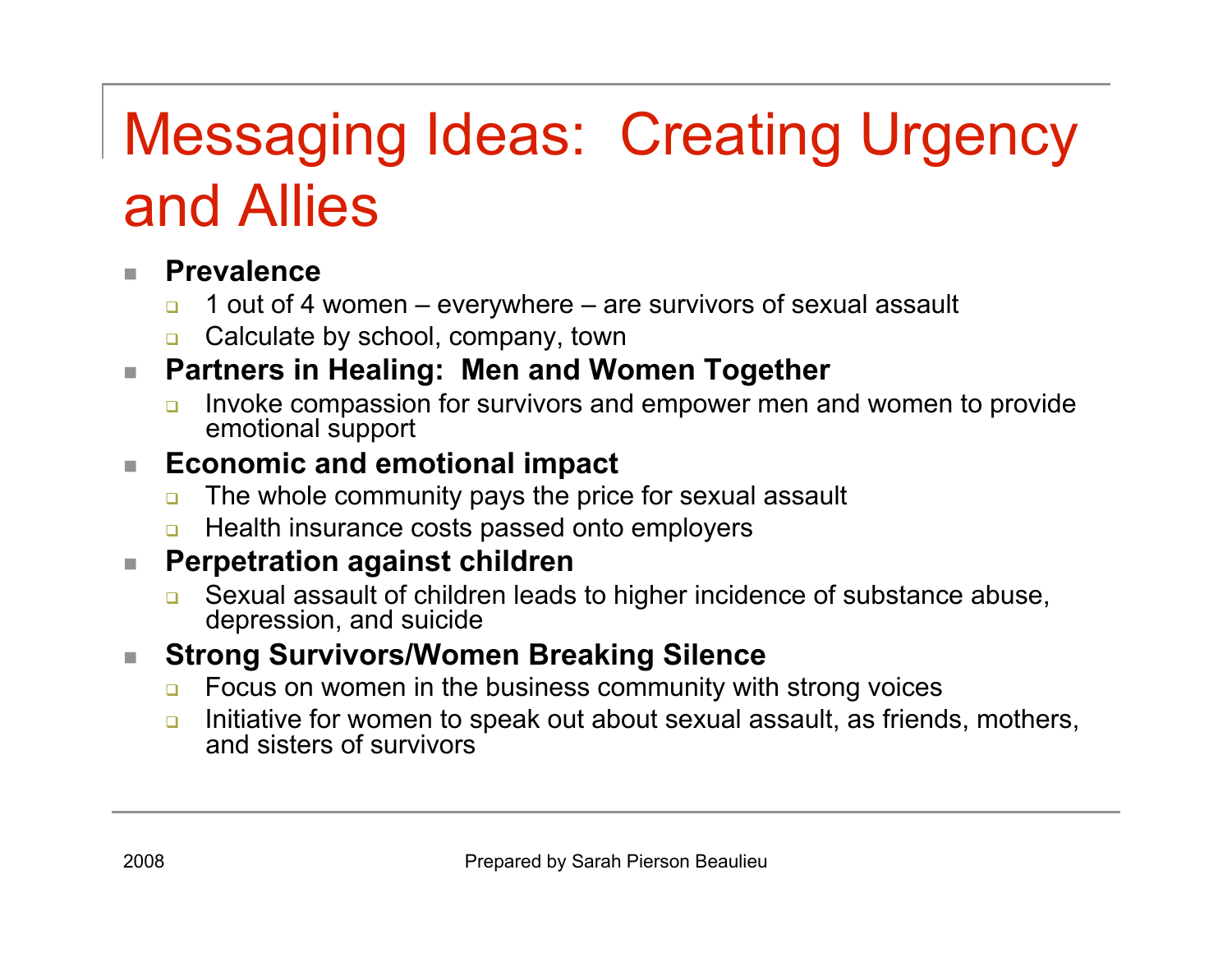### Messaging Ideas: Creating Urgency and Allies

#### **Prevalence**

- $\Box$  1 out of 4 women everywhere are survivors of sexual assault
- **Q** Calculate by school, company, town

#### **Partners in Healing: Men and Women Together**

 Invoke compassion for survivors and empower men and women to provide emotional support

#### ■ Economic and emotional impact

- $\Box$  The whole community pays the price for sexual assault
- **Health insurance costs passed onto employers**

#### **Perpetration against children**

**□** Sexual assault of children leads to higher incidence of substance abuse, depression, and suicide

#### **Strong Survivors/Women Breaking Silence**

- **EXECUS** on women in the business community with strong voices
- **n** Initiative for women to speak out about sexual assault, as friends, mothers, and sisters of survivors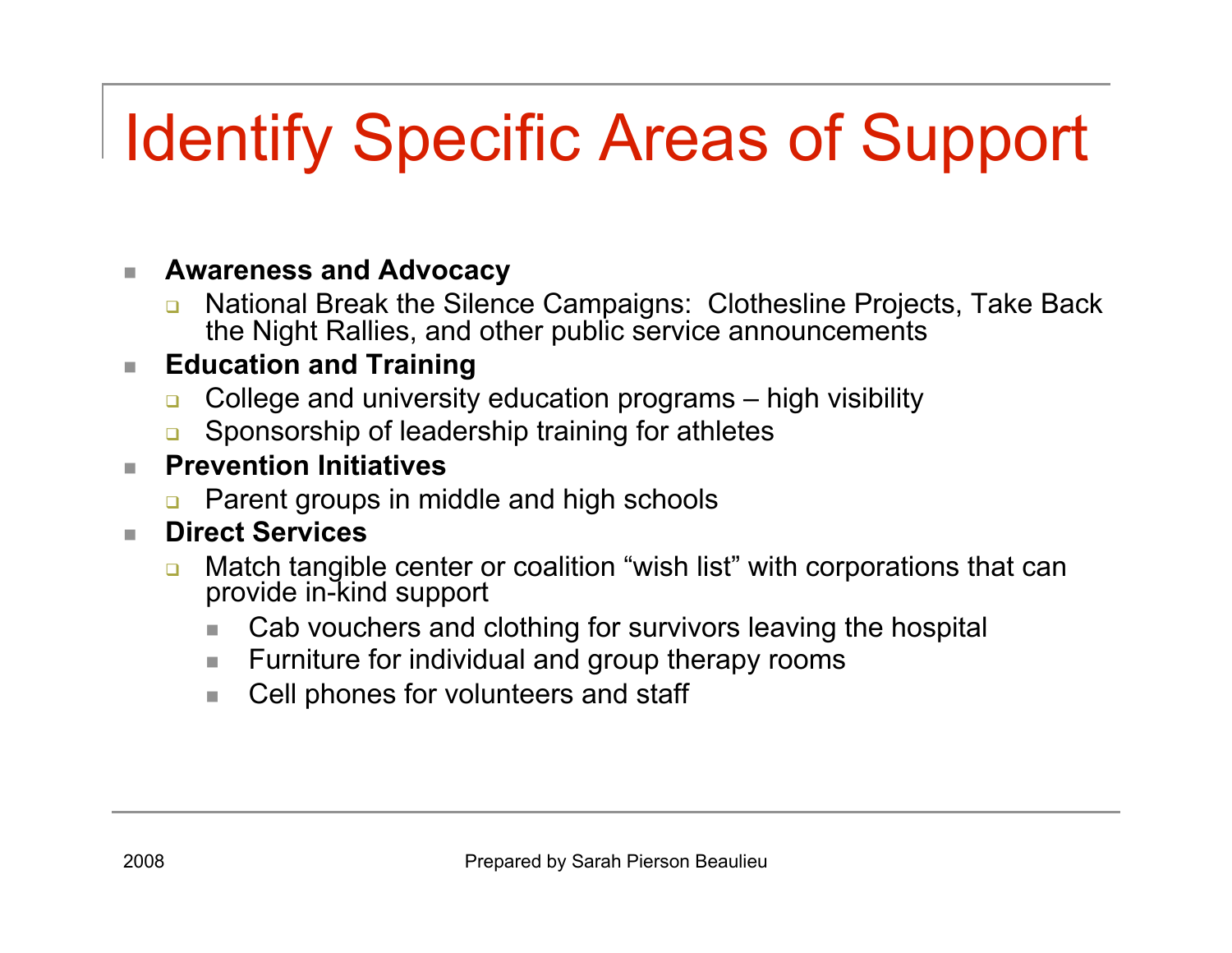# Identify Specific Areas of Support

#### **Awareness and Advocacy**

**n** National Break the Silence Campaigns: Clothesline Projects, Take Back the Night Rallies, and other public service announcements

#### **Education and Training**

- **College and university education programs** high visibility
- **Example 3** Sponsorship of leadership training for athletes

#### **Prevention Initiatives**

Parent groups in middle and high schools

#### **Direct Services**

- **n** Match tangible center or coalition "wish list" with corporations that can provide in-kind support
	- Cab vouchers and clothing for survivors leaving the hospital
	- **Furniture for individual and group therapy rooms**
	- Cell phones for volunteers and staff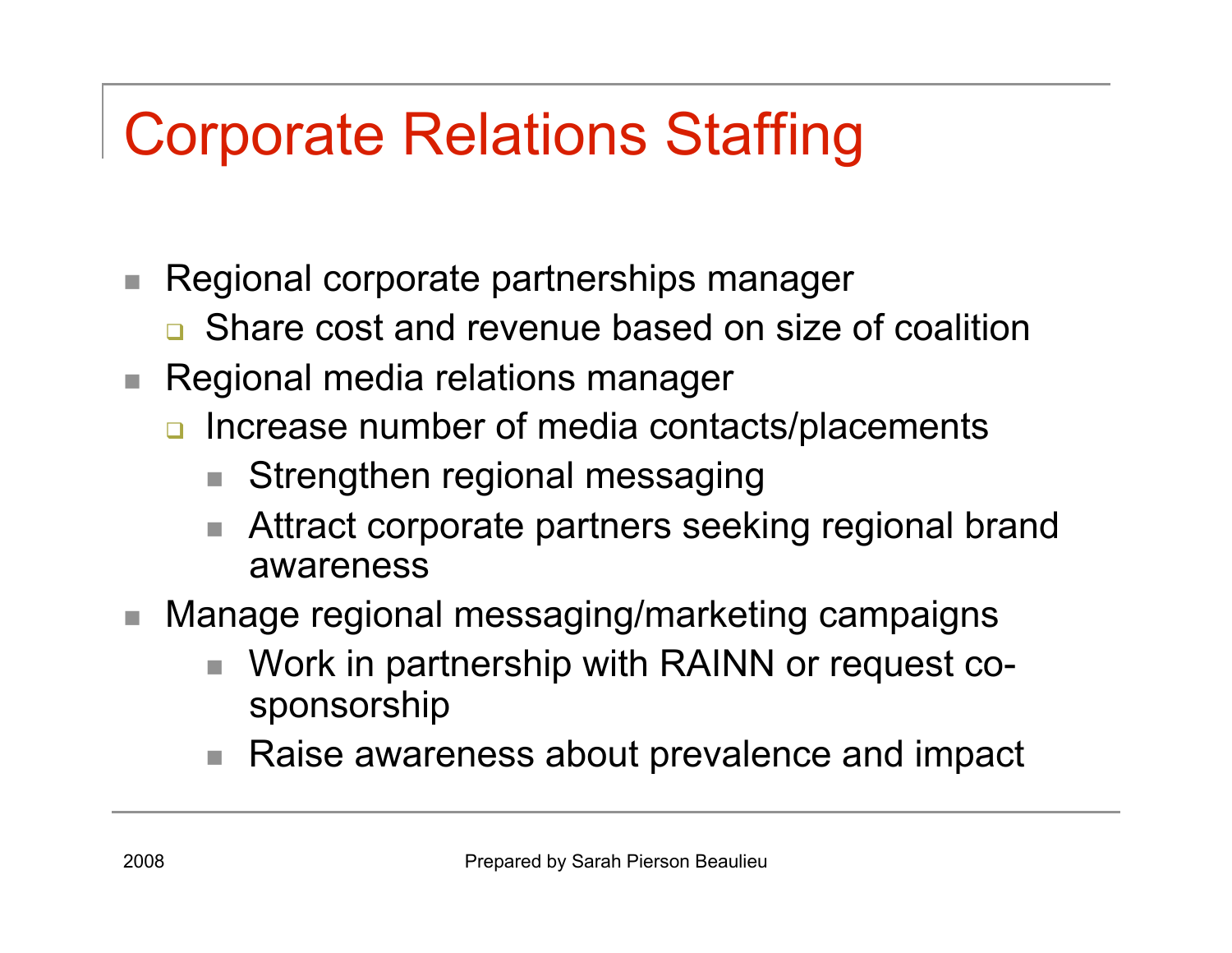### Corporate Relations Staffing

- Regional corporate partnerships manager
	- **□** Share cost and revenue based on size of coalition
- Regional media relations manager
	- n Increase number of media contacts/placements
		- Strengthen regional messaging
		- Attract corporate partners seeking regional brand awareness
- Manage regional messaging/marketing campaigns
	- Work in partnership with RAINN or request cosponsorship
	- Raise awareness about prevalence and impact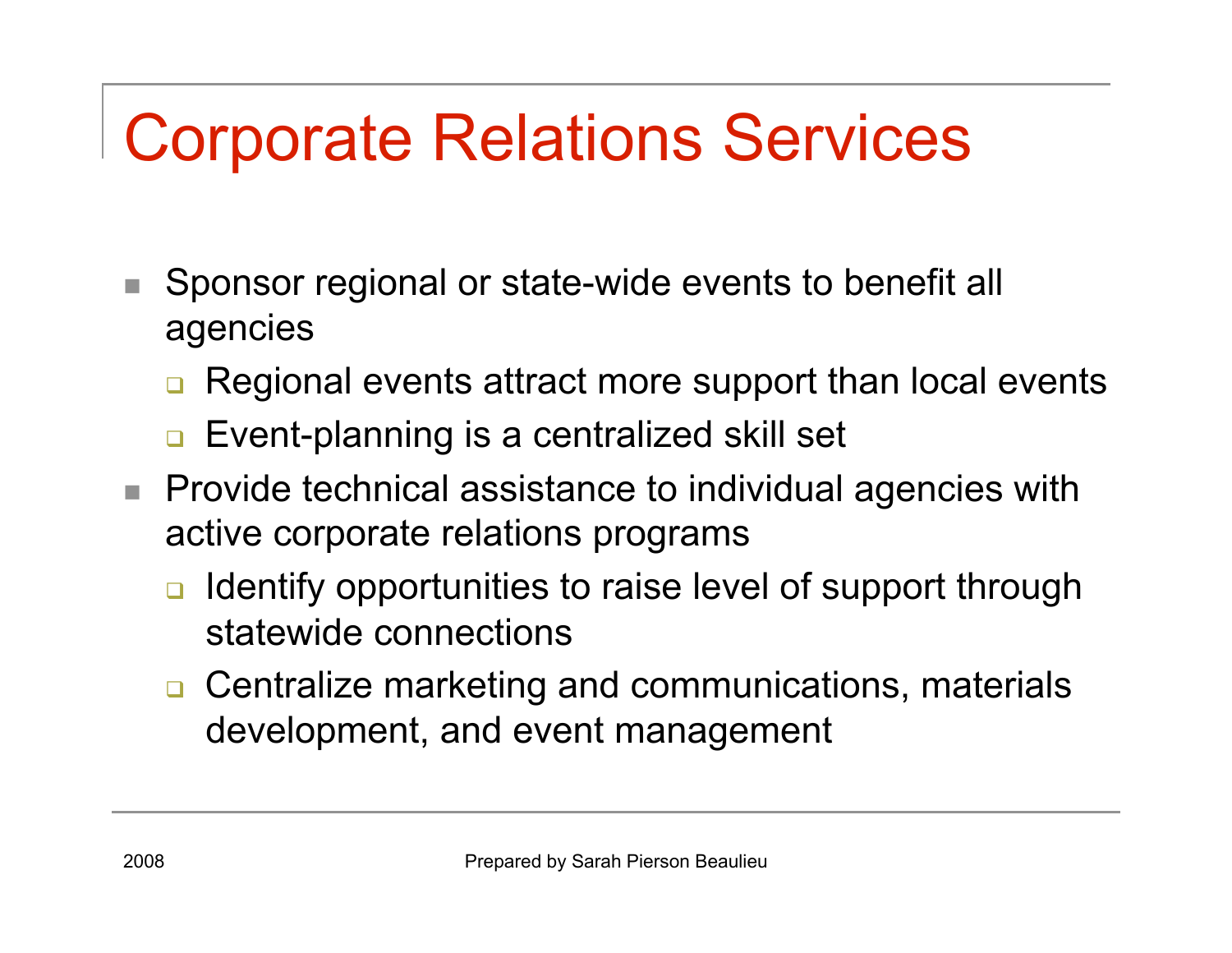# Corporate Relations Services

- Sponsor regional or state-wide events to benefit all agencies
	- Regional events attract more support than local events
	- Event-planning is a centralized skill set
- **Provide technical assistance to individual agencies with** active corporate relations programs
	- Identify opportunities to raise level of support through statewide connections
	- **□** Centralize marketing and communications, materials development, and event management